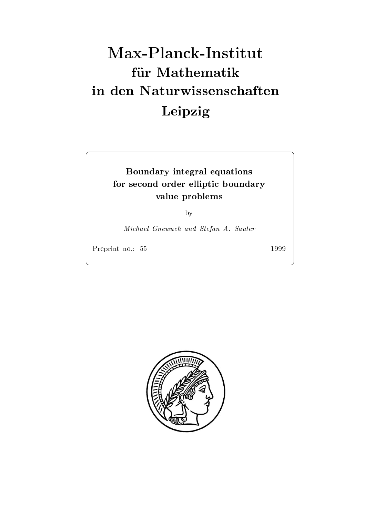# Max-Planck-Institut für Mathematik Leipzig

# Boundary integral equations for second order elliptic boundary value problems problems and the problems of the problems of the problems of the problems of the problems of the problems of the problems of the problems of the problems of the problems of the problems of the problems of th

by

Michael Gnewuch and Stefan A. Sauter

Preprint no --

1999

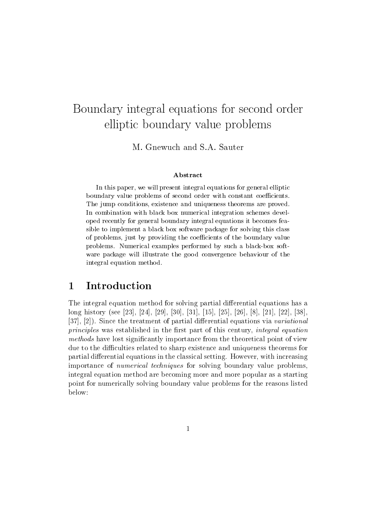# Boundary integral equations for second order to second order that it is the second order to second order that elliptic boundary value problems

M. Gnewuch and S.A. Sauter

## Abstract

In this paper, we will present integral equations for general elliptic boundary value problems of second order with constant coecients-The jump conditions existence and uniqueness theorems are proved-In combination with black box numerical integration schemes devel oped recently for general boundary integral equations it becomes feasible to implement a black box software package for solving this classof problems just by providing the coecients of the boundary value problems- recommended by such a blackbox software performed by such a blackbox software software software and where package will illustrate the good convergence behaviour of the the integral equation method.

#### $\mathbf 1$ Introduction

The integral equation method for solving partial differential equations has a long history see - - - - - - - - - - - - - - Since the treatment of partial dierential equations via variational principles was established in the first part of this century, integral equation methods have lost significantly importance from the theoretical point of view due to the difficulties related to sharp existence and uniqueness theorems for partial differential equations in the classical setting. However, with increasing importance of numerical techniques for solving boundary value problems integral equation method are becoming more and more popular as a starting point for numerically solving boundary value problems for the reasons listed below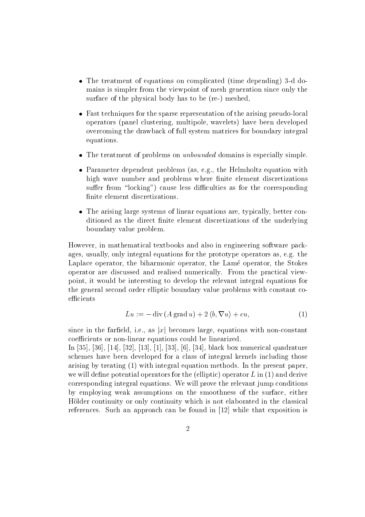- $\bullet$  The treatment of equations on complicated (time depending) 3-d domains is simpler from the viewpoint of mesh generation since only the surface of the physical body has to be  $(re-)$  meshed,
- $\bullet$  -rast techniques for the sparse representation of the arising pseudo-local  $\bullet$ operators (panel clustering, multipole, wavelets) have been developed overcoming the drawback of full system matrices for boundary integral equations
- $\bullet$  The treatment of problems on *unbounded* domains is especially simple.
- $\bullet$  -rarameter dependent problems (as, e.g., the Helmholtz equation with high wave number and problems where finite element discretizations suffer from "locking") cause less difficulties as for the corresponding finite element discretizations.
- $\bullet$  The arising large systems of linear equations are, typically, better conditioned as the direct finite element discretizations of the underlying boundary value problem

However, in mathematical textbooks and also in engineering software packages, usually, only integral equations for the prototype operators as, e.g. the Laplace operator, the biharmonic operator, the Lamé operator, the Stokes operator are discussed and realised numerically From the practical view point it would be interesting to develop the relevant integral equations for the general second order elliptic boundary value problems with constant co efficients

$$
Lu := -\operatorname{div}\left(A\operatorname{grad}u\right) + 2\left\langle b, \nabla u\right\rangle + cu,\tag{1}
$$

since in the farfield, i.e., as |x| becomes large, equations with non-constant coefficients or non-linear equations could be linearized.

In - - - - - - - - - black box numerical quadrature schemes have been developed for a class of integral kernels including those arising by treating  $\{ \pm \}$  by the present paper of the present paper paper paper paper paper paper paper of we will denote the electronic operators for the electron potential  $\mu$  in the electronic operator  $\mu$ corresponding integral equations We will prove the relevant jump conditions by employing weak assumptions on the smoothness of the surface, either Holder continuity or only continuity which is not elaborated in the classical references Such an approache can be found in the found in  $\mathcal{L}$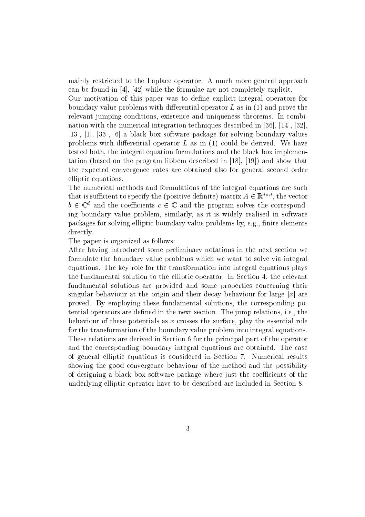mainly restricted to the Laplace operator A much more general approach can be found in - the found in - the found in - the found in - the formulae are not completely explicit the fo

Our motivation of this paper was to define explicit integral operators for boundary value problems with dierential operator L as in and prove the relevant jumping conditions, existence and uniqueness theorems. In combination with the numerical integration techniques described in - - -  $\mathbf{r}$  ,  $\mathbf{r}$  ,  $\mathbf{r}$  ,  $\mathbf{r}$  ,  $\mathbf{r}$  ,  $\mathbf{r}$  ,  $\mathbf{r}$  ,  $\mathbf{r}$  ,  $\mathbf{r}$  ,  $\mathbf{r}$  ,  $\mathbf{r}$  ,  $\mathbf{r}$  ,  $\mathbf{r}$  ,  $\mathbf{r}$  ,  $\mathbf{r}$  ,  $\mathbf{r}$  ,  $\mathbf{r}$  ,  $\mathbf{r}$  ,  $\mathbf{r}$  ,  $\mathbf{r}$  , problems with dieself believe a partners  $\equiv$  and the partners of a dieself as in the second tested both, the integral equation formulations and the black box implementation based on the program described in the show that  $\mathbf{p} = \mathbf{p}$ the expected convergence rates are obtained also for general second order elliptic equations

The numerical methods and formulations of the integral equations are such that is sumelent to specify the (positive definite) matrix  $A \in \mathbb{R}^{n \times n}$ , the vector  $b \in \mathbb{C}^*$  and the coefficients  $c \in \mathbb{C}$  and the program solves the corresponding boundary value problem, similarly, as it is widely realised in software packages for solving elliptic boundary value problems by, e.g., finite elements directly

The paper is organized as follows

After having introduced some preliminary notations in the next section we formulate the boundary value problems which we want to solve via integral equations The key role for the transformation into integral equations plays the fundamental solution to the elliptic operator. In Section 4, the relevant fundamental solutions are provided and some properties concerning their singular behaviour at the origin and their decay behaviour for large  $|x|$  are proved. By employing these fundamental solutions, the corresponding potential operators are defined in the next section. The jump relations, i.e., the behaviour of these potentials as  $x$  crosses the surface, play the essential role for the transformation of the boundary value problem into integral equations These relations are derived in Section 6 for the principal part of the operator and the corresponding boundary integral equations are obtained. The case of general elliptic equations is considered in Section Numerical results showing the good convergence behaviour of the method and the possibility of designing a black box software package where just the coefficients of the underlying elliptic operator have to be described are included in Section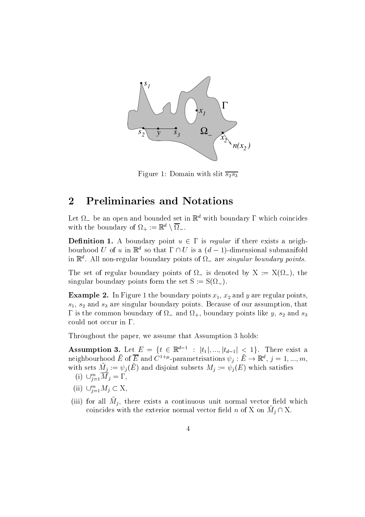

 $\Omega$  by a domain with slit such a domain with slit such a domain  $\Delta$  of  $\Delta$ 

#### Preliminaries and Notations  $\bf{2}$  $\overline{\phantom{0}}$

Let  $\Omega_{-}$  be an open and bounded set in  $\mathbb{R}^{d}$  with boundary  $\Gamma$  which coincides with the boundary of  $\Omega_+ := \mathbb{R}^+ \setminus \Omega_-$ .

**Definition 1.** A boundary point  $u \in I$  is requide if there exists a neighbourhood U of u in  $\mathbb{R}^n$  so that  $1 \sqcup U$  is a  $(a - 1)$ -dimensional submanifold In  $\mathbb R$  . All non-regular boundary points of  $u_+$  are singular boundary points.

The set of regular boundary points of  $\Omega$  is denoted by  $X := X(\Omega)$ , the singular boundary points form the set  $S := S(\Omega_-)$ .

 $\mathbf{F}$  . In Figure 2 and the boundary points  $\mathbf{F}$  and  $\mathbf{F}$  are regular points  $\mathbf{F}$  $s_1$ ,  $s_2$  and  $s_3$  are singular boundary points. Because of our assumption, that is the common boundary points like  $\mathcal{U}$  and so and so and so and so and so and so and so and so and so and could not occur in  $\Gamma$ .

Throughout the paper, we assume that Assumption 3 holds:

**Assumption 5.** Let  $E = \{i \in \mathbb{R}^n : |t_1|, ..., |t_{d-1}| \leq 1\}$ . There exist a neignbourhood E of E and C<sup>-1</sup> r-parametrisations  $\psi_j : E \to \mathbb{R}^n$ ,  $j = 1, ..., m$ , with sets  $m_j := \varphi_j(E)$  and disjoint subsets  $m_j := \varphi_j(E)$  which satisfies

- (1)  $\cup_{i=1}^{\infty} M_i = 1$ ,
- (ii)  $\cup_{i=1}^{\infty} M_i \subseteq \Lambda$ ,
- $\mu$  iii) for all  $M_j$ , there exists a continuous unit normal vector field which coincides with the exterior normal vector field n of  $X$  on  $M_j \sqcup X$ .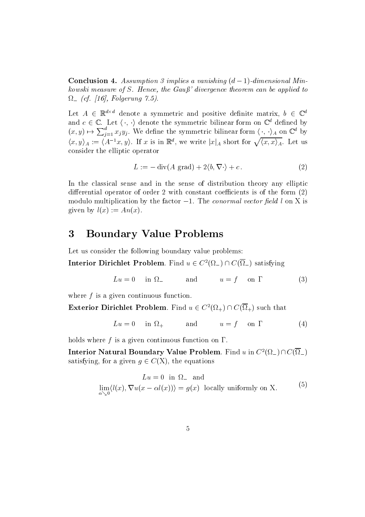**Conclusion 4.** Assumption 3 implies a vanishing  $(a - 1)$ -aimensional Minkowski measure of S- Hence the Gau divergence theorem can be applied to cf- Folgerung -
-

Let  $A \in \mathbb{R}^{n \times n}$  denote a symmetric and positive dennite matrix,  $\theta \in \mathbb{C}^n$ and  $c \in \mathbb{C}$ . Let  $\langle \cdot, \cdot \rangle$  denote the symmetric bilinear form on  $\mathbb{C}^*$  defined by  $\mathbb{R}^{d \times d}$  denote a symmetric and positive definite matrix,  $b \in \mathbb{C}$ . Let  $\langle \cdot, \cdot \rangle$  denote the symmetric bilinear form on  $\mathbb{C}^d$  defined Let  $A \in \mathbb{R}^{d \times d}$  denote a symmetric and positive definite matrix,  $b \in \mathbb{C}^d$ <br>and  $c \in \mathbb{C}$ . Let  $\langle \cdot, \cdot \rangle$  denote the symmetric bilinear form on  $\mathbb{C}^d$  defined by<br> $(x, y) \mapsto \sum_{i=1}^d x_i y_i$ . We define the symme  $\langle x, y \rangle_A := \langle A^{-1}x, y \rangle$ . If x is in  $\mathbb{R}^d$ , we write  $|x|_A$  short for  $\sqrt{\langle x, x \rangle_A}$ . Let us consider the elliptic operator

$$
L := -\operatorname{div}(A \operatorname{grad}) + 2\langle b, \nabla \cdot \rangle + c. \tag{2}
$$

In the classical sense and in the sense of distribution theory any elliptic differential operator of order 2 with constant coefficients is of the form  $(2)$ modulo multiplication by the factor  $-1$ . The *conormal vector field* t on  $\Lambda$  is given by  $l(x) := An(x)$ .

#### 3 Boundary Value Problems

Let us consider the following boundary value problems:

**Interior Dirichlet Problem.** Find  $u \in C^-(\Omega_+) \cap C(\Omega_-)$  satisfying

$$
Lu = 0 \quad \text{in } \Omega_{-} \qquad \text{and} \qquad u = f \quad \text{on } \Gamma \tag{3}
$$

where  $f$  is a given continuous function.

**Exterior Dirichlet Problem.** Find  $u \in C^{-1}(\Omega_+) \cap C(\Omega_+)$  such that

$$
Lu = 0 \quad \text{in } \Omega_+ \qquad \text{and} \qquad u = f \quad \text{on } \Gamma \tag{4}
$$

holds where f is a given continuous function on  $\Gamma$ .

Interior Natural Boundary Value Problem. Find u in  $C^2(\Omega_-) \cap C(\overline{\Omega}_-)$ satisfying, for a given  $q \in C(\Lambda)$ , the equations

$$
Lu = 0 \text{ in } \Omega_{-} \text{ and}
$$
  

$$
\lim_{\alpha \searrow 0} \langle l(x), \nabla u(x - \alpha l(x)) \rangle = g(x) \text{ locally uniformly on X.}
$$
 (5)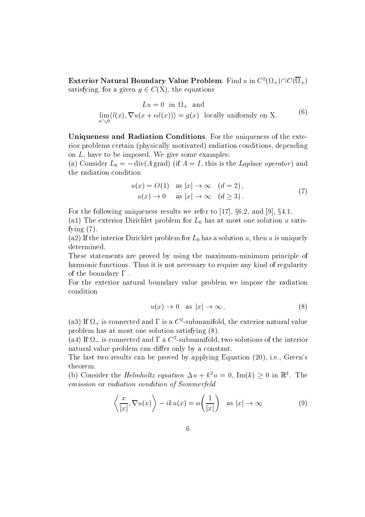**Exterior Natural Boundary Value Problem.** Find u in  $C^{\{V_{\ell+1}\}\cup\{V_{\ell+1}\}}$ satisfying, for a given  $q \in C(\Lambda)$ , the equations

$$
Lu = 0 \text{ in } \Omega_+ \text{ and}
$$
  

$$
\lim_{\alpha \searrow 0} \langle l(x), \nabla u(x + \alpha l(x)) \rangle = g(x) \text{ locally uniformly on X.}
$$
 (6)

Uniqueness and Radiation Conditions For the uniqueness of the exte rior problems certain (physically motivated) radiation conditions, depending on  $L$ , have to be imposed. We give some examples:

(a) Consider  $L_0 = -\text{div}(A \text{ grad})$  (if  $A = I$ , this is the Laplace operator) and the radiation condition

$$
u(x) = O(1) \quad \text{as } |x| \to \infty \quad (d = 2),
$$
  

$$
u(x) \to 0 \quad \text{as } |x| \to \infty \quad (d \ge 3).
$$
 (7)

For the following uniqueness results we refer to  $\left[17\right],\;$   $\left\{0.2,\;\text{and}\;\left[9\right],\;\text{g4.1.}\right\}$ 

 $\alpha$  , the external problem for  $\alpha$  , the external or  $\alpha$  is at the satisfied unit of  $\alpha$  . The external order of  $\alpha$ fying  $(7)$ .

(a2) If the interior Dirichlet problem for  $L_0$  has a solution u, then u is uniquely determined

These statements are proved by using the maximum-minimum principle of harmonic functions. Thus it is not necessary to require any kind of regularity of the boundary  $\Gamma$ .

For the exterior natural boundary value problem we impose the radiation condition

$$
u(x) \to 0 \quad \text{as } |x| \to \infty \,. \tag{8}
$$

(ab) if  $\Omega_+$  is connected and it is a  $C$  -submanifold, the exterior natural value problem has at most one solution satisfying

( $a$ 4) if  $\overline{\Omega}$  is connected and  $\overline{\Omega}$  a C -submanifold, two solutions of the interior natural value problem can differ only by a constant.

The last two results can be proved by applying Equation  $(20)$ , i.e., Green's theorem

(b) Consider the *Helmholtz equation*  $\Delta u + \kappa^2 u = 0$ ,  $\text{Im}(\kappa) \geq 0$  in  $\mathbb{R}^2$ . The emission or radiation condition of Sommerfeld

$$
\left\langle \frac{x}{|x|}, \nabla u(x) \right\rangle - iku(x) = o\left(\frac{1}{|x|}\right) \quad \text{as } |x| \to \infty \tag{9}
$$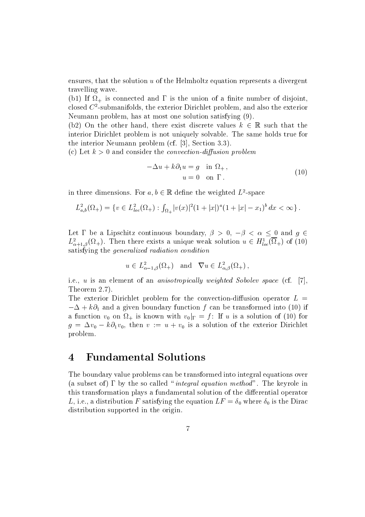ensures, that the solution  $u$  of the Helmholtz equation represents a divergent travelling wave

, is a final connected and is the union of a nite of a nite of a nite of a nite of a nite  $\mathcal{P}^{(n)}$  and  $\mathcal{P}^{(n)}$ closed C submanifolds the exterior Dirichlet problem and also the exterior Neumann problem, has at most one solution satisfying  $(9)$ .

(b2) On the other hand, there exist discrete values  $\kappa~\in~\mathbb{R}$  such that the interior Dirichlet problem is not uniquely solvable The same holds true for the interior I communicated problem can prove the contract of  $\alpha$ 

(c) Let  $k > 0$  and consider the *convection-diffusion problem* 

$$
-\Delta u + k \partial_1 u = g \quad \text{in } \Omega_+,
$$
  
\n
$$
u = 0 \quad \text{on } \Gamma.
$$
 (10)

in three dimensions. For  $a, b \in \mathbb{R}$  define the weighted  $L$ -space

three dimensions. For 
$$
a, b \in \mathbb{R}
$$
 define the weighted  $L^2$ -space
$$
L^2_{a,b}(\Omega_+) = \{v \in L^2_{loc}(\Omega_+) : \int_{\Omega_+} |v(x)|^2 (1+|x|)^a (1+|x|-x_1)^b dx < \infty\}.
$$

Let 1 be a Lipschitz continuous boundary,  $\rho > 0$ ,  $-\rho < \alpha < 0$  and  $\theta \in$  $L_{\alpha+1,\beta}^2(\Omega_+).$  Then there exists a unique weak solution  $u \in H_{loc}^2(\Omega_+)$  of (10) satisfying the generalized radiation condition

$$
u \in L^2_{\alpha-1,\beta}(\Omega_+) \text{ and } \nabla u \in L^2_{\alpha,\beta}(\Omega_+),
$$

i.e., u is an element of an anisotropically weighted Sobolev space (cf. <u>171.</u> Theorem 2.7).

The exterior Dirichlet problem for the convection-diffusion operator  $L =$  $-\Delta + \kappa \sigma_1$  and a given boundary function f can be transformed into (10) if a function  $v_0$  on  $\Omega_+$  is known with  $v_0|_{\Gamma} = f$ : If u is a solution of (10) for  $g = \Delta v_0 - k \partial_1 v_0$ , then  $v := u + v_0$  is a solution of the exterior Dirichlet problem

#### $\boldsymbol{4}$ Fundamental Solutions

The boundary value problems can be transformed into integral equations over (a subset of)  $\Gamma$  by the so called "integral equation method". The keyrole in this transformation plays a fundamental solution of the differential operator L, i.e., a distribution F satisfying the equation  $LF = \delta_0$  where  $\delta_0$  is the Dirac distribution supported in the origin.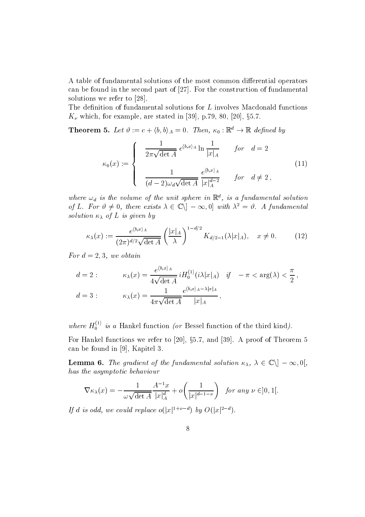A table of fundamental solutions of the most common differential operators can be found in the second part of - For the construction of fundamental solutions were referred to -  $\sim$  -  $\sim$  -  $\sim$ 

The definition of fundamental solutions for  $L$  involves Macdonald functions  $K_{\nu}$  which, for example, are stated in  $[39]$ , p.19, 80,  $[20]$ , 80.1.

**Theorem 5.** Let  $v := c + \langle 0, v \rangle_A = 0$ . Then,  $\kappa_0 : \mathbb{R}^+ \to \mathbb{R}$  defined by

$$
\kappa_0(x) := \begin{cases}\n\frac{1}{2\pi\sqrt{\det A}} e^{\langle b, x \rangle_A} \ln \frac{1}{|x|_A} & \text{for } d = 2 \\
\frac{1}{(d-2)\omega_d\sqrt{\det A}} \frac{e^{\langle b, x \rangle_A}}{|x|_A^{d-2}} & \text{for } d \neq 2,\n\end{cases}
$$
\n(11)

where  $\omega_d$  is the volume of the unit sphere in  $\mathbb R$  , is a fundamental solution of L. For  $v \neq 0$ , there exists  $\lambda \in \mathbb{C} \setminus \mathbb{C} = \infty$ ,  $v \in \mathbb{C}$  with  $\lambda^2 = v$ . A fundamental  $\mathbb{R}^d$  sphere in  $\mathbb{R}^d$ , is a fundamental so<br>  $\mathbb{C}\setminus ]-\infty,0]$  with  $\lambda^2=\vartheta$ . A fundan solution of <sup>L</sup> is given by

$$
\kappa_{\lambda}(x) := \frac{e^{\langle b, x \rangle_A}}{(2\pi)^{d/2}\sqrt{\det A}} \left(\frac{|x|_A}{\lambda}\right)^{1-d/2} K_{d/2-1}(\lambda |x|_A), \quad x \neq 0. \tag{12}
$$

For  $d = 2, 3$ , we obtain

$$
d = 2: \qquad \kappa_{\lambda}(x) = \frac{e^{\langle b,x\rangle_A}}{4\sqrt{\det A}} i H_0^{(1)}(i\lambda|x|_A) \quad \text{if} \quad -\pi < \arg(\lambda) < \frac{\pi}{2},
$$
\n
$$
d = 3: \qquad \kappa_{\lambda}(x) = \frac{1}{4\pi\sqrt{\det A}} \frac{e^{\langle b,x\rangle_A - \lambda|x|_A}}{|x|_A},
$$

where  $H_0^{\gamma}$  is a Hankel function (or Bessel function of the third kind).

For frankel functions we refer to  $\left[20\right],\;89.7,\;810$   $\left[59\right],\;A$  proof of Theorem  $3$ can be found in the found in the found in the found in the found in the found in the found in the found in the found in the found in the found in the found in the found in the found in the found in the found in the found i For frame, ranches we letter to [20], 30.1, and [00]. It proof of filteration of<br>
can be found in [9], Kapitel 3.<br>
Lemma 6. The gradient of the fundamental solution  $\kappa_{\lambda}$ ,  $\lambda \in \mathbb{C} \setminus ]-\infty,0[$ ,

has the asymptotic behaviour

$$
\nabla \kappa_{\lambda}(x) = -\frac{1}{\omega \sqrt{\det A}} \frac{A^{-1}x}{|x|_A^d} + o\left(\frac{1}{|x|^{d-1-\nu}}\right) \text{ for any } \nu \in ]0,1[.
$$

It a is oad, we could replace  $O(|x|^{2+\epsilon} - 1)$  on  $O(|x|^{2+\epsilon})$ .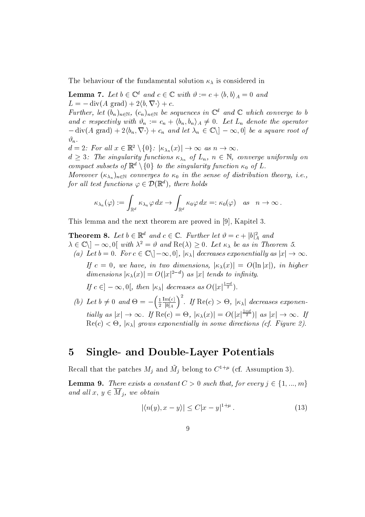$\sim$  the behaviour of the fundamental solution of the fundamental solution  $\lambda$ 

**Lemma** 1. Let  $0 \in \mathbb{C}^n$  and  $c \in \mathbb{C}$  with  $v := c + \langle 0, 0 \rangle_A = 0$  and  $L = -\operatorname{div}(A \operatorname{grad}) + 2\langle b, \nabla \cdot \rangle + c.$ 

Further, let  $(\theta_n)_{n\in\mathbb{N}}$ ,  $(c_n)_{n\in\mathbb{N}}$  be sequences in  $\mathbb{C}$  and  $\mathbb{C}$  which converge to b and c respectivity with  $v_n := c_n + \langle o_n, o_n \rangle_A \neq 0$ . Let  $L_n$  denote the operator  $-\text{div}(A \text{ grad}) + 2\langle b_n, \nabla \cdot \rangle + c_n$  and let  $\lambda_n \in \mathbb{C} \setminus ] - \infty, 0]$  be  $\alpha$ ,<br>  $d = 2$ : For all  $x \in \mathbb{R}^2 \setminus \{0\}$ :  $|\kappa_{\lambda_n}(x)| \to \infty$  as  $n \to \infty$ .  $\mathbb{C}^d$  and  $\mathbb C$  which converge to b<br>0. Let  $L_n$  denote the operator<br> $\mathbb{C}\setminus(-\infty,0]$  be a square root of  $\vartheta_n$ .

 $a = \Delta$ : For all  $x \in \mathbb{R}$   $\setminus$  {U}:  $\vert \kappa_{\lambda_n} \vert$ 

 $a \geq s$ : The singularity functions  $\kappa_{\lambda_n}$  of  $L_n$ ,  $n \in \mathbb{N}$ , converge uniformly on compact subsets of  $\mathbb{R}^+ \setminus \{0\}$  to the singularity function  $\kappa_0$  of  $L$ .

 $\mathcal{L}=\{x_1,\ldots,x_n\}$  is the sense of distribution to the sense of distribution theory  $\mathcal{L}$  ,  $\ldots$ for all test functions  $\varphi \in \mathcal{D}(\mathbb{R}^d)$ , there holds  $D\}$  to the singularity funct<br>rges to  $\kappa_0$  in the sense of<br> $\mathcal{D}(\mathbb{R}^d)$ , there holds

$$
\begin{aligned}\n\text{est functions } \varphi \in \mathcal{D}(\mathbb{R}^d), \text{ there holds} \\
\kappa_{\lambda_n}(\varphi) &:= \int_{\mathbb{R}^d} \kappa_{\lambda_n} \varphi \, dx \to \int_{\mathbb{R}^d} \kappa_0 \varphi \, dx =: \kappa_0(\varphi) \quad \text{as} \quad n \to \infty \,. \n\end{aligned}
$$

This lemma and the next theorem are proved in - Kapitel

**Theorem 8.** Let  $0 \in \mathbb{R}^n$  and  $c \in \mathbb{C}$ . Further let  $v = c + |v|$  and  $\lambda \in \mathbb{C} \setminus [-\infty, 0]$  with  $\lambda^* \equiv v$  and  $\text{Re}(\lambda) \geq 0$ . Let  $\kappa_\lambda$  be as in Theorem 5. Formal directors<br>  ${\rm Re} \, {\bf c}$   ${\rm Re} \, {\bf c}$ <br>  ${\rm Re} \, {\bf c}$   ${\rm Re} \, {\bf c}$ <br>  ${\rm Re} \, {\bf c}$   ${\rm Re} \, {\bf c}$ <br>  ${\rm Re} \, {\bf c}$ (a) Let  $0 = 0$ . For  $c \in \mathbb{C} \setminus [-\infty, 0]$ ,  $|\kappa_{\lambda}|$  aecreases exponentially as  $|x| \to \infty$ .

 $I_f$   $c = 0$ , we have, in two annensions,  $\vert \kappa_\lambda(x) \vert = O(\ln |x|)$ , in higher dimensions  $|\kappa_{\lambda}(x)| = O(|x|^{-\epsilon})$  as  $|x|$  tends to infinity. If  $c = 0$ , we have, in two almensions,  $|\kappa_{\lambda}(x)| = C$ <br>dimensions  $|\kappa_{\lambda}(x)| = O(|x|^{2-d})$  as  $|x|$  tends to infin<br>If  $c \in ]-\infty,0[$ , then  $|\kappa_{\lambda}|$  decreases as  $O(|x|^{\frac{1-d}{2}})$ .

 $\left\{ \begin{array}{l} a \mid b \mid b \mid c \mid b \neq 0 \end{array} \right\}$  and  $\left\{ \begin{array}{l} b \mid c \mid d \mid c \neq 0 \end{array} \right\}$ . If . . . . - - - - $\frac{\text{Im}(c)}{|b|_A}$ . If  $\text{Re}(c) > \Theta$ ,  $|\kappa_\lambda|$  decreases exponentially as  $|x| \to \infty$ . If  $\text{Re}(c) = \Theta$ ,  $|\kappa_\lambda(x)| = O(|x|^{-\frac{1}{2}})$  as  $|x| \to \infty$ . If  $\text{Re}(c) \leq \Theta$ ,  $|\kappa_{\lambda}|$  grows exponentially in some atrections (cf. Figure 2).

#### $\mathbf 5$ Single- and Double-Layer Potentials

Recall that the patches  $M_j$  and  $M_j$  belong to  $C^{++*}$  (cf. Assumption 5). Recall that the patches  $M_j$  and  $\tilde{M}_j$  belong to  $C^{1+\mu}$  (cf. Assumption 3).<br>**Lemma 9.** There exists a constant  $C > 0$  such that, for every  $j \in \{1, ..., m\}$ 

and all  $x, y \in M_j$ , we obtain obtain<br> $|\langle n(y), x - y \rangle| \leq C |x-y|^{1+\mu}$ .

$$
|\langle n(y), x - y \rangle| \le C|x - y|^{1 + \mu}.
$$
\n
$$
(13)
$$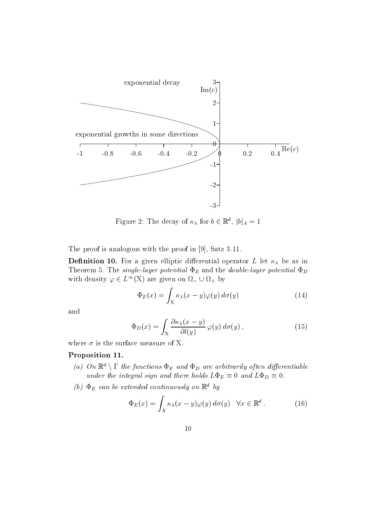

Figure 2: The decay of  $\kappa_{\lambda}$  for  $\theta \in \mathbb{R}^n$ ,  $|\theta|_A = 1$ 

The proof is analogous with the proof in the proof in the proof in the proof in the proof in  $\mathbb{R}$ 

Denition - For a given elliptic dierential operator L let be as in Theorem 5. The single-layer potential  $\Phi_E$  and the double-layer potential  $\Phi_D$ with density  $\varphi \in L^{\infty}(\Lambda)$  are given on  $\Omega = \cup \Omega_+$  by

$$
\Phi_E(x) = \int_X \kappa_\lambda(x - y) \varphi(y) \, d\sigma(y) \tag{14}
$$

and

$$
\Phi_D(x) = \int_X \frac{\partial \kappa_\lambda(x - y)}{\partial l(y)} \varphi(y) \, d\sigma(y) \,, \tag{15}
$$

where  $\sigma$  is the surface measure of X.

# Proposition 11.

- (a) On  $\mathbb{R}^d \setminus \Gamma$  the functions  $\Phi_E$  and  $\Phi_D$  are arbitrarily often differentiable under the integral sign and there holds  $L\Phi_E \equiv 0$  and  $L\Phi_D \equiv 0$ .
- (b)  $\Phi_E$  can be extended continuously on  $\mathbb{R}^d$  by

$$
\Phi_E(x) = \int_X \kappa_\lambda(x - y) \varphi(y) \, d\sigma(y) \quad \forall x \in \mathbb{R}^d \,. \tag{16}
$$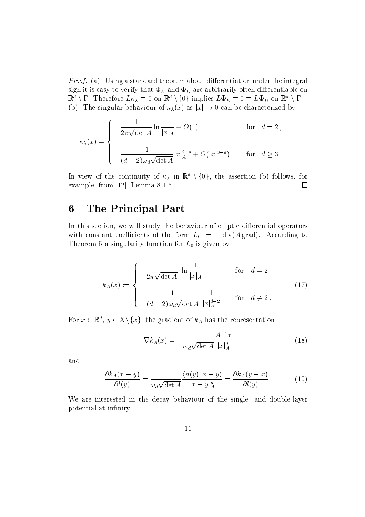Proof- a Using a standard theorem about dierentiation under the integral sign it is easy to verify that  $\Phi_E$  and  $\Phi_D$  are arbitrarily often differentiable on  $\mathbb{R}^n \setminus I$ . Interefore  $LK_{\lambda} = 0$  on  $\mathbb{R}^n \setminus \{0\}$  implies  $L \Psi_E = 0 = L \Psi_D$  on  $\mathbb{R}^n \setminus I$ . (b): The singular behaviour of  $\kappa_{\lambda}(x)$  as  $|x| \to 0$  can be characterized by nd  $\Phi_D$  are arbitrarily often differentiable on<br>  $L^l \setminus \{0\}$  implies  $L \Phi_E \equiv 0 \equiv L \Phi_D$  on  $\mathbb{R}^d \setminus \Gamma$ .<br>  $\lambda(x)$  as  $|x| \to 0$  can be characterized by

$$
\kappa_{\lambda}(x) = \begin{cases}\n\frac{1}{2\pi\sqrt{\det A}} \ln \frac{1}{|x|_A} + O(1) & \text{for } d = 2, \\
\frac{1}{(d-2)\omega_d\sqrt{\det A}} |x|_A^{2-d} + O(|x|^{3-d}) & \text{for } d \ge 3.\n\end{cases}
$$
\nIn view of the continuity of  $\kappa_{\lambda}$  in  $\mathbb{R}^d \setminus \{0\}$ , the assertion (b) follows, for

 $\Box$ example from a letter of the from a letter of the state of the state of the state of the state of the state of

#### 6 The Principal Part

In this section, we will study the behaviour of elliptic differential operators with constant coefficients of the form  $L_0 := -\text{div}(A \text{ grad})$ . According to Theorem 5 a singularity function for  $L_0$  is given by

$$
k_A(x) := \begin{cases} \frac{1}{2\pi\sqrt{\det A}} \ln \frac{1}{|x|_A} & \text{for } d = 2\\ \frac{1}{(d-2)\omega_d\sqrt{\det A}} \frac{1}{|x|_A^{d-2}} & \text{for } d \neq 2. \end{cases}
$$
(17)

For  $x \in \mathbb{R}^n$ ,  $y \in \Lambda \setminus \{x\}$ , the gradient of  $\kappa_A$  has the representation

$$
\nabla k_A(x) = -\frac{1}{\omega_d \sqrt{\det A}} \frac{A^{-1}x}{|x|_A^d} \tag{18}
$$

and

$$
\frac{\partial k_A(x-y)}{\partial l(y)} = \frac{1}{\omega_d \sqrt{\det A}} \frac{\langle n(y), x - y \rangle}{|x - y|_A^d} = \frac{\partial k_A(y - x)}{\partial l(y)}.
$$
 (19)

We are interested in the decay behaviour of the single- and double-layer potential at infinity: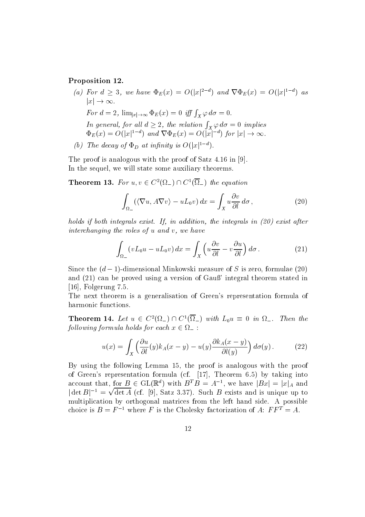### Proposition 12.

- (a) for  $a \geq 3$ , we have  $\Psi_E(x) = O(|x|^{2})$  and  $\nabla \Psi_E(x) = O(|x|^{2})$  as  $|x| \to \infty$ . For  $d = 2$ ,  $\lim_{|x| \to \infty} \Phi_E(x) = 0$  iff  $\int_X \varphi d\sigma = 0$ . In general, for all  $d \geq 2$ , the relation  $\int_X \varphi \, d\sigma = 0$  implies  $\Psi_E(x) = O(|x|^{-\alpha})$  and  $V\Psi_E(x) = O(|x|^{-\alpha})$  for  $|x| \to \infty$ .
- (b) The decay of  $\Phi_D$  at infinity is  $O(|x|^{1-d})$ .

The proof is analogous with the proof of Satz  $\mathbb{R}^n$  , with the proof of Satz  $\mathbb{R}^n$  , with the proof of Satz  $\mathbb{R}^n$ In the sequel, we will state some auxiliary theorems.

**Theorem 13.** For 
$$
u, v \in C^2(\Omega_-) \cap C^1(\Omega_-)
$$
 the equation  

$$
\int_{\Omega_-} (\langle \nabla u, A \nabla v \rangle - u L_0 v) dx = \int_X u \frac{\partial v}{\partial l} d\sigma,
$$
(20)

holds if both integrals exist- If in addition the integrals in exist after interchanging the roles of  $u$  and  $v$ , we have

$$
\int_{\Omega_{-}} \left(vL_{0}u - uL_{0}v\right)dx = \int_{X} \left(u\frac{\partial v}{\partial l} - v\frac{\partial u}{\partial l}\right)d\sigma.
$$
 (21)

Since the  $(a - 1)$ -dimensional Minkowski measure of S is zero, formulae (20) and be proved using the proved interest and the Gaussian of Gaussian theorem stated interest and the contract of  $\blacksquare$  Folgerung  $\blacksquare$  Folgerung  $\blacksquare$ 

The next theorem is a generalisation of Green's representation formula of harmonic functions

**Theorem 14.** Let  $u \in C^{\infty}(\Sigma_{-}) \cap C^{\infty}(\Sigma_{-})$  with  $L_0 u = 0$  in  $\Sigma_{-}$ . Then the following formula holds for each  $x \in \Omega$  :

$$
u(x) = \int_X \left(\frac{\partial u}{\partial l}(y)k_A(x-y) - u(y)\frac{\partial k_A(x-y)}{\partial l(y)}\right)d\sigma(y). \tag{22}
$$

 $\mathcal{L}$  , when  $\mathcal{L}$  is an analogous with the proof is analogous with the proof is analogous with the proof of Greens representation for the file of the case of  $\mathcal{S}$  , and  $\mathcal{S}$  -representation of the contract of  $\mathcal{S}$ account that, for  $B \in GL(\mathbb{R}^n)$  with  $B^*B = A^{-1}$ , we have  $|Bx| = |x|_A$  and  $\det B|^{-1} = \sqrt{\det A}$  (cf. [9], Satz 3.37). Such B exists and is unique up to multiplication by orthogonal matrices from the left hand side A possible choice is  $B = F^{-1}$  where F is the Cholesky factorization of A:  $FF^{T} = A$ .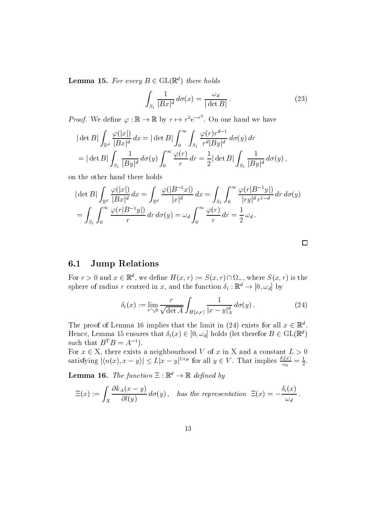**Lemma 15.** For every  $B \in GL(\mathbb{R}^n)$  there holds

$$
\int_{S_1} \frac{1}{|Bx|^d} d\sigma(x) = \frac{\omega_d}{|\det B|}.
$$
\n(23)

*Proof.* We define  $\varphi : \mathbb{R} \to \mathbb{R}$  by  $r \mapsto r^2 e^{-r^2}$ . On one hand we have

$$
|\det B| \int_{\mathbb{R}^d} \frac{\varphi(|x|)}{|Bx|^d} dx = |\det B| \int_0^\infty \int_{S_1} \frac{\varphi(r)r^{d-1}}{r^d|By|^d} d\sigma(y) dr
$$
  
= |\det B|  $\int_{S_1} \frac{1}{|By|^d} d\sigma(y) \int_0^\infty \frac{\varphi(r)}{r} dr = \frac{1}{2} |\det B| \int_{S_1} \frac{1}{|By|^d} d\sigma(y) ,$ 

on the other hand there holds

$$
|\det B| \int_{\mathbb{R}^d} \frac{\varphi(|x|)}{|Bx|^d} dx = \int_{\mathbb{R}^d} \frac{\varphi(|B^{-1}x|)}{|x|^d} dx = \int_{S_1} \int_0^\infty \frac{\varphi(r|B^{-1}y|)}{|ry|^d r^{1-d}} dr d\sigma(y)
$$
  
= 
$$
\int_{S_1} \int_0^\infty \frac{\varphi(r|B^{-1}y|)}{r} dr d\sigma(y) = \omega_d \int_0^\infty \frac{\varphi(r)}{r} dr = \frac{1}{2} \omega_d.
$$

#### $6.1$ Jump Relations

For  $r > 0$  and  $x \in \mathbb{R}^n$ , we define  $H(x, r) := S(x, r) \cap \Omega_+$ , where  $S(x, r)$  is the sphere of radius r centred in x, and the function  $o_i: \mathbb{R}^n \to [0, \omega_d]$  by

$$
\delta_i(x) := \lim_{r \searrow 0} \frac{r}{\sqrt{\det A}} \int_{H(x,r)} \frac{1}{|x - y|_A^d} d\sigma(y).
$$
 (24)

The proof of Lemma to implies that the limit in  $(24)$  exists for all  $x \in \mathbb{R}^+$ . Hence, Lemma 15 ensures that  $o_i(x) \in [0, \omega_d]$  holds (let therefor  $B \in GL(\mathbb{R}^+)$ such that  $B^T B = A^{-1}$ .

For  $x \in \Lambda$ , there exists a neighbourhood  $V$  of  $x$  in  $\Lambda$  and a constant  $L > 0$ such that  $B^T B = A^{-1}$ ).<br>For  $x \in X$ , there exists a neighbourhood V of x in X and a constant  $L > 0$ <br>satisfying  $|\langle n(x), x - y \rangle| \le L|x - y|^{1+\mu}$  for all  $y \in V$ . That implies  $\frac{\delta_i(x)}{\omega_d} = \frac{1}{2}$ .

**Lemma 10.** The function  $\Xi : \mathbb{R}^n \to \mathbb{R}$  defined by

$$
\Xi(x) := \int_X \frac{\partial k_A(x-y)}{\partial l(y)} d\sigma(y), \quad \text{has the representation } \Xi(x) = -\frac{\delta_i(x)}{\omega_d}.
$$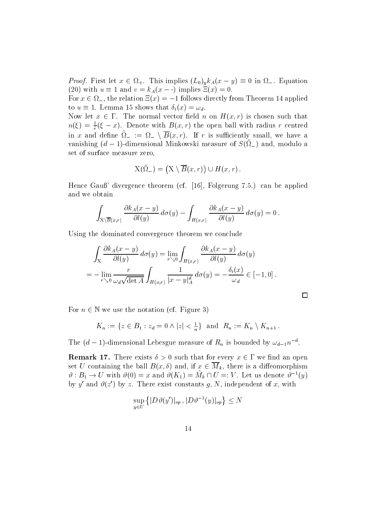*Proof*. First let  $x \in \Omega_+$ . This implies  $(L_0)_y K_A(x-y) = 0$  in  $\Omega_-$ . Equation (20) with  $u \equiv 1$  and  $v = k_A(x - \cdot)$  implies  $\Xi(x) = 0$ .  $x \in \Omega_+$ . This implies  $(L_0)_y k_A(x - y) \equiv 0$  in<br>and  $v = k_A(x - \cdot)$  implies  $\Xi(x) = 0$ .

For  $x \in \Omega_-,$  the relation  $\Xi(x) = -1$  follows directly from Theorem 14 applied to  $u = 1$ . Lemma 15 shows that  $o_i(x) = \omega_d$ .

Now let  $x \in I$ . The normal vector field n on  $H(x, r)$  is chosen such that  $n(\xi) = \frac{1}{r}(\xi - x)$ . Denote with  $B(x, r)$  the open ball with radius r centred in x and denne  $\Omega_- := \Omega_- \setminus D(x, r)$ . If r is summertify small, we have a vanishing  $(a - 1)$ -dimensional Minkowski measure of  $S(\Sigma_{-})$  and, modulo a set of surface measure zero

$$
X(\tilde{\Omega}_-) = (X \setminus \overline{B}(x,r)) \cup H(x,r).
$$

Hence Gau" divergence theorem cf -  Folgerung can be applied and we obtain

$$
\int_{X\setminus\overline{B}(x,r)}\frac{\partial k_A(x-y)}{\partial l(y)}\,d\sigma(y)-\int_{H(x,r)}\frac{\partial k_A(x-y)}{\partial l(y)}\,d\sigma(y)=0.
$$

Using the dominated convergence theorem we conclude

$$
\int_{X} \frac{\partial k_A(x-y)}{\partial l(y)} d\sigma(y) = \lim_{r \searrow 0} \int_{H(x,r)} \frac{\partial k_A(x-y)}{\partial l(y)} d\sigma(y)
$$
  
= 
$$
- \lim_{r \searrow 0} \frac{r}{\omega_d \sqrt{\det A}} \int_{H(x,r)} \frac{1}{|x-y|_A^d} d\sigma(y) = -\frac{\delta_i(x)}{\omega_d} \in [-1,0].
$$

For  $n \in \mathbb{N}$  we use the notation (cf. Figure 3)

N we use the notation (cf. Figure 3)  
\n
$$
K_n := \{ z \in B_1 : z_d = 0 \land |z| < \frac{1}{n} \} \text{ and } R_n := K_n \setminus K_{n+1} \, .
$$

The  $(a-1)$ -dimensional Lebesgue measure of  $R_n$  is bounded by  $\omega_{d-1}n^{-}$ .

**Remark 17.** There exists  $0 > 0$  such that for every  $x \in I$  we find an open set U containing the ball  $B(x, o)$  and, if  $x \in M_k$ , there is a diffeomorphism  $v : D_1 \to U$  with  $v(0) = x$  and  $v(\Lambda_1) = M_k \sqcup U =: V$ . Let us denote  $v^{-1}(y)$ by y and  $v(z)$  by z. There exist constants  $q, N$ , independent of x, with

$$
\sup_{y\in U}\left\{|D\vartheta(y')|_{op}\,, |D\vartheta^{-1}(y)|_{op}\right\}\le N
$$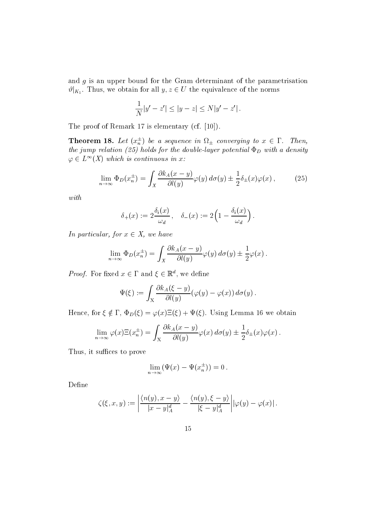and g is an upper bound for the Gram determinant of the parametrisation  $\mathcal{V}|_{K_1}$ . Thus, we obtain for all  $y, z \in U$  the equivalence of the norms<br> $\frac{1}{-|y'-z'|} < |y-z| < N|y'-z'|$ .

$$
\frac{1}{N}|y'-z'| \le |y-z| \le N|y'-z'|.
$$

the proof of Remark of the Content of Alberta, the proof of the content

**Theorem 18.** Let  $(x_n^-)$  be a sequence in  $\Omega_{\pm}$  converging to  $x \in \mathbb{I}$ . Then, the jump relation (we) the double the double the double potential .D with a density  $\varphi \in L^{\infty}(\Lambda)$  which is continuous in x:

$$
\lim_{n \to \infty} \Phi_D(x_n^{\pm}) = \int_X \frac{\partial k_A(x - y)}{\partial l(y)} \varphi(y) \, d\sigma(y) \pm \frac{1}{2} \delta_{\pm}(x) \varphi(x) \,, \tag{25}
$$

with

$$
\delta_+(x) := 2 \frac{\delta_i(x)}{\omega_d}, \quad \delta_-(x) := 2 \left( 1 - \frac{\delta_i(x)}{\omega_d} \right).
$$

In particular, for  $x \in A$ , we have

$$
\lim_{n \to \infty} \Phi_D(x_n^{\pm}) = \int_X \frac{\partial k_A(x - y)}{\partial l(y)} \varphi(y) d\sigma(y) \pm \frac{1}{2} \varphi(x).
$$

*Proof*. For fixed  $x \in I$  and  $\xi \in \mathbb{R}^*$ , we define

$$
\Psi(\xi) := \int_X \frac{\partial k_A(\xi - y)}{\partial l(y)} (\varphi(y) - \varphi(x)) d\sigma(y).
$$

Hence, for  $\xi \notin I$ ,  $\Psi_D(\xi) = \varphi(x)\Xi(\xi) + \Psi(\xi)$ . Using Lemma To we obtain

$$
\lim_{n \to \infty} \varphi(x) \Xi(x_n^{\pm}) = \int_X \frac{\partial k_A(x - y)}{\partial l(y)} \varphi(x) d\sigma(y) \pm \frac{1}{2} \delta_{\pm}(x) \varphi(x).
$$

Thus, it suffices to prove

$$
\lim_{n \to \infty} (\Psi(x) - \Psi(x_n^{\pm})) = 0.
$$

Define

$$
\zeta(\xi, x, y) := \left| \frac{\langle n(y), x - y \rangle}{|x - y|_A^d} - \frac{\langle n(y), \xi - y \rangle}{|\xi - y|_A^d} \right| |\varphi(y) - \varphi(x)|.
$$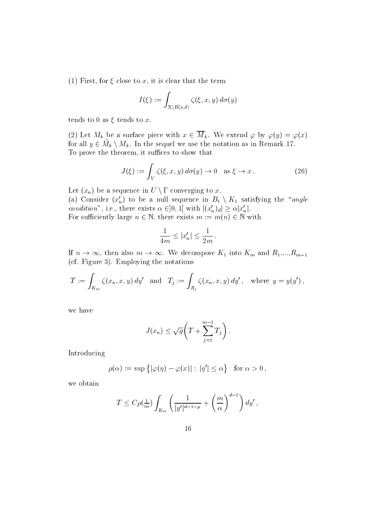$\mathbf{r} = \mathbf{r}$  for  $\mathbf{r} = \mathbf{r}$  is the term that the term that the term of the term of  $\mathbf{r}$ 

$$
I(\xi):=\int_{X\setminus B(x,\delta)}\zeta(\xi,x,y)\,d\sigma(y)
$$

tends to 0 as  $\xi$  tends to x.

(2) Let  $M_k$  be a surface piece with  $x \in M_k$ . We extend  $\varphi$  by  $\varphi(y) = \varphi(x)$ for all  $y \in M_k \setminus M_k$ . In the sequel we use the notation as in Remark 17. To prove the theorem, it suffices to show that

$$
J(\xi) := \int_{V} \zeta(\xi, x, y) d\sigma(y) \to 0 \quad \text{as } \xi \to x. \tag{26}
$$

Let  $(x_n)$  be a sequence in  $U \setminus \Gamma$  converging to x.

(a) Consider  $(x_n)$  to be a null sequence in  $B_1 \setminus K_1$  satisfying the *angle condition*, i.e., there exists  $\alpha \in ]0, 1[$  with  $|(x_n)_d| \geq \alpha |x_n|$ . ence in  $B_1 \setminus K_1$  satis<br>with  $|(x'_n)_d| \ge \alpha |x'_n|$ . For sumclently large  $n \in \mathbb{N}$ , there exists  $m := m(n) \in \mathbb{N}$  with

there exists 
$$
m := m(n) \in \mathbb{N}
$$
  
\n
$$
\frac{1}{4m} \le |x'_n| \le \frac{1}{2m}.
$$

If  $n \to \infty$ , then also  $m \to \infty$ . We decompose  $K_1$  into  $K_m$  and  $R_1,...,R_{m-1}$  $(cf. Figure 3).$  Employing the notations

$$
T := \int_{K_m} \zeta(x_n, x, y) dy' \text{ and } T_j := \int_{R_j} \zeta(x_n, x, y) dy', \text{ where } y = y(y'),
$$

we have

$$
J(x_n) \leq \sqrt{g} \left( T + \sum_{j=1}^{m-1} T_j \right).
$$

Introducing

$$
\rho(\alpha):=\sup\big\{|\varphi(\eta)-\varphi(x)|:\,|\eta'|\le\alpha\big\}\quad\text{for } \alpha>0\,,
$$

we obtain

$$
T \leq C \rho(\tfrac{1}{m}) \int_{K_m} \left( \frac{1}{|y'|^{d-1-\mu}} + \left( \frac{m}{\alpha} \right)^{d-1} \right) dy',
$$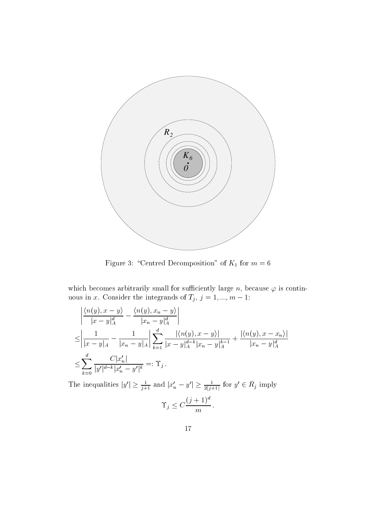

Figure 3: "Centred Decomposition" of  $K_1$  for  $m=6$ 

which becomes arbitrarily small for sufficiently large n, because  $\varphi$  is continuous in x. Consider the integrands of  $T_i$ ,  $j = 1, ..., m - 1$ :

$$
\left| \frac{\langle n(y), x - y \rangle}{|x - y|_A^d} - \frac{\langle n(y), x_n - y \rangle}{|x_n - y|_A^d} \right| \right|
$$
  
\n
$$
\leq \left| \frac{1}{|x - y|_A} - \frac{1}{|x_n - y|_A} \right| \sum_{k=1}^d \frac{|\langle n(y), x - y \rangle|}{|x - y|_A^{d-k} |x_n - y|_A^{k-1}} + \frac{|\langle n(y), x - x_n \rangle|}{|x_n - y|_A^d}
$$
  
\n
$$
\leq \sum_{k=0}^d \frac{C|x'_n|}{|y'|^{d-k} |x'_n - y'|^k} =: \Upsilon_j.
$$
  
\nThe inequalities  $|y'| \geq \frac{1}{j+1}$  and  $|x'_n - y'| \geq \frac{1}{2(j+1)}$  for  $y' \in R_j$  imply

$$
\Upsilon_j \le C \frac{(j+1)^d}{m} \, .
$$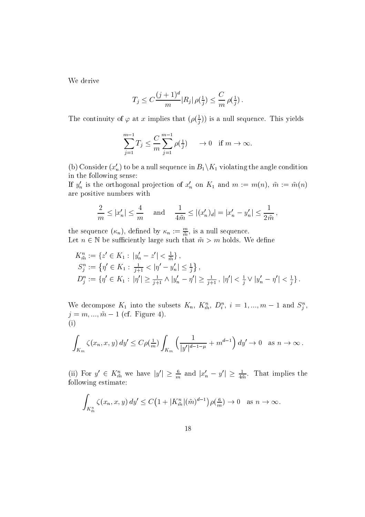We derive

$$
T_j \leq C \frac{(j+1)^d}{m} |R_j| \, \rho(\tfrac{1}{j}) \leq \frac{C}{m} \, \rho(\tfrac{1}{j}).
$$

The continuity of 
$$
\varphi
$$
 at x implies that  $(\rho(\frac{1}{j}))$  is a null sequence. This yields  

$$
\sum_{j=1}^{m-1} T_j \leq \frac{C}{m} \sum_{j=1}^{m-1} \rho(\frac{1}{j}) \longrightarrow 0 \quad \text{if } m \to \infty.
$$

(b) Consider  $(x_n)$  to be a null sequence in  $B_1 \backslash K_1$  violating the angle condition in the following sense

If  $y_n$  is the orthogonal projection of  $x_n$  on  $K_1$  and  $m := m(n)$ ,  $m := m(n)$  $\vert n \vert \leq \frac{1}{2 \cdot \overline{n}}$ 

are positive numbers with  
\n
$$
\frac{2}{m} \le |x'_n| \le \frac{4}{m} \quad \text{and} \quad \frac{1}{4\tilde{m}} \le |(x'_n)_d| = |x'_n - y'_n| \le \frac{1}{2\tilde{m}},
$$

the sequence  $(\kappa_n)$ , defined by  $\kappa_n := \frac{1}{\tilde{m}}$ , is a null sequence. Let  $n \in \mathbb{N}$  be sufficiently large such that  $m > m$  holds. We define

$$
K_{\tilde{m}}^{n} := \{ z' \in K_1 : |y'_n - z'| < \frac{1}{\tilde{m}} \},
$$
  
\n
$$
S_j^n := \{ \eta' \in K_1 : \frac{1}{j+1} < |\eta' - y'_n| \le \frac{1}{j} \},
$$
  
\n
$$
D_j^n := \{ \eta' \in K_1 : |\eta'| \ge \frac{1}{j+1} \land |y'_n - \eta'| \ge \frac{1}{j+1}, |\eta'| < \frac{1}{j} \lor |y'_n - \eta'| < \frac{1}{j} \}.
$$

we decompose  $K_1$  into the subsets  $K_n$ ,  $K_m^*$ ,  $D_i^*$ ,  $i = 1, ..., m-1$  and  $S_i^*$ ,  $\eta = m, ..., m - 1$  (cf. Figure 4).  $(i)$ 

1)  

$$
\int_{K_m} \zeta(x_n, x, y) dy' \le C \rho(\frac{1}{m}) \int_{K_m} \left( \frac{1}{|y'|^{d-1-\mu}} + m^{d-1} \right) dy' \to 0 \text{ as } n \to \infty.
$$

(ii) for  $y \in K_{\tilde{m}}$  we have  $|y| \geq \frac{1}{m}$  and  $|x_n - y| \geq \frac{1}{4\tilde{m}}$ . That implies the following estimate

wing estimate:  
\n
$$
\int_{K_{\tilde{m}}^n} \zeta(x_n, x, y) dy' \leq C \left( 1 + |K_{\tilde{m}}^n| (\tilde{m})^{d-1} \right) \rho(\frac{6}{m}) \to 0 \quad \text{as } n \to \infty.
$$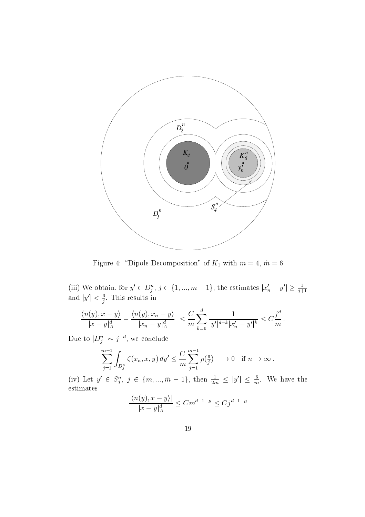

Figure 4: "Dipole-Decomposition" of  $K_1$  with  $m = 4$ ,  $\tilde{m} = 6$ 

(iii) We obtain, for  $y' \in D_j^n$ ,  $j \in \{1, ..., m-1\}$ , the estimates  $|x'_n - y'| \ge \frac{1}{j+1}$ <br>and  $|y'| < \frac{6}{j}$ . This results in

$$
\left| \frac{\langle n(y), x - y \rangle}{|x - y|_A^d} - \frac{\langle n(y), x_n - y \rangle}{|x_n - y|_A^d} \right| \le \frac{C}{m} \sum_{k=0}^d \frac{1}{|y'|^{d-k} |x'_n - y'|^k} \le C \frac{j^d}{m}.
$$
  
Let  $\log |D_i^n| \sim j^{-d}$ , we conclude

Due to  $|D_i^-| \sim j^-$ 

$$
\sum_{j=1}^{m-1} \int_{D_j^n} \zeta(x_n, x, y) dy' \leq \frac{C}{m} \sum_{j=1}^{m-1} \rho(\frac{6}{j}) \quad \to 0 \quad \text{if } n \to \infty.
$$

(iv) Let  $y \in S_i^{\gamma}$ ,  $j \in \{m, ..., m-1\}$ , then  $\frac{1}{2m} \leq |y| \leq \frac{1}{m}$ . We have the

$$
\frac{|\langle n(y), x - y \rangle|}{|x - y|_A^d} \le C m^{d-1-\mu} \le C j^{d-1-\mu}
$$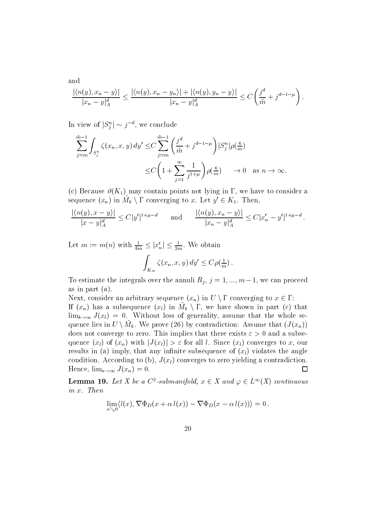$|\langle n(y), x_n - y \rangle| \leq |\langle n(y), y \rangle|$  $x_n - y_1$  $\leq \frac{|\langle n(y), x_n - y_n \rangle| + |\langle n(y), y_n - y \rangle|}{\sqrt{2}} \leq C \left( \frac{f^n}{f^n} \right)$  $x_n - y_1$  $\langle C\left(\frac{j^d}{r}+i^{d-1-\mu}\right)\rangle$ j d  $\tilde{m}$  j  $\left\langle d-1-\mu\right\rangle$  $|\omega_n - y|_A$   $|\sim j^{-d},$  we conclude

In view of  $|S_j| \sim j$ 

and

$$
\sum_{j=m}^{\tilde{m}-1} \int_{S_j^n} \zeta(x_n, x, y) dy' \leq C \sum_{j=m}^{\tilde{m}-1} \left( \frac{j^d}{\tilde{m}} + j^{d-1-\mu} \right) |S_j^n| \rho(\frac{6}{m})
$$
  

$$
\leq C \left( 1 + \sum_{j=1}^{\infty} \frac{1}{j^{1+\mu}} \right) \rho(\frac{6}{m}) \longrightarrow 0 \text{ as } n \to \infty.
$$

(c) Because  $\vartheta(K_1)$  may contain points not lying in  $\Gamma$ , we have to consider a sequence  $(x_n)$  in  $M_k \setminus I$  converging to x. Let  $y \in K_1$ . Then,

$$
\frac{|\langle n(y), x - y \rangle|}{|x - y|_A^d} \le C|y'|^{1 + \mu - d} \quad \text{and} \quad \frac{|\langle n(y), x_n - y \rangle|}{|x_n - y|_A^d} \le C|x'_n - y'|^{1 + \mu - d}.
$$

 $\mathbb{L}e^{jx}$   $\mathbb{L}e^{jx}$   $\mathbb{L}e^{jx}$   $\mathbb{L}e^{jx}$   $\mathbb{L}e^{jx}$   $\mathbb{L}e^{jx}$   $\mathbb{L}e^{jx}$   $\mathbb{L}e^{jx}$   $\mathbb{L}e^{jx}$   $\mathbb{L}e^{jx}$   $\mathbb{L}e^{jx}$   $\mathbb{L}e^{jx}$   $\mathbb{L}e^{jx}$   $\mathbb{L}e^{jx}$   $\mathbb{L}e^{jx}$   $\mathbb{L}e^{jx$ 

$$
\int_{K_m} \zeta(x_n, x, y) dy' \leq C \rho(\frac{1}{m}).
$$

To estimate the integrals over the annuli  $R_i$ ,  $j = 1, ..., m-1$ , we can proceed as in part  $(a)$ .

Next, consider an arbitrary sequence  $(x_n)$  in  $U \setminus I$  converging to  $x \in I$ : If  $(x_n)$  has a subsequence  $(x_l)$  in  $M_k \setminus 1$ , we have shown in part (c) that  $\lim_{k\to\infty} J(x_k) = 0$ . Without loss of generality, assume that the whole sequence lies in  $U \setminus M_k$ . We prove (20) by contradiction: Assume that  $(J(x_n))$ does not converge to zero. This implies that there exists  $\varepsilon > 0$  and a subsequence  $(x_l)$  of  $(x_n)$  with  $|J(x_l)| > \varepsilon$  for all l. Since  $(x_l)$  converges to x, our results in (a) imply, that any infinite subsequence of  $(x_l)$  violates the angle condition. According to (b),  $J(x_l)$  converges to zero yielding a contradiction. Hence,  $\lim_{n\to\infty}J(x_n)=0$ .  $\Box$ 

**Lemma 19.** Let X be a C<sup>-</sup>-submanifold,  $x \in X$  and  $\varphi \in L^{\infty}(X)$  continuous<br>in x. Then<br> $\lim_{\alpha \searrow 0} \langle l(x), \nabla \Phi_D(x + \alpha l(x)) - \nabla \Phi_D(x - \alpha l(x)) \rangle = 0$ .

$$
\lim_{\alpha\searrow 0} \langle l(x), \nabla \Phi_D(x+\alpha l(x)) - \nabla \Phi_D(x-\alpha l(x)) \rangle = 0.
$$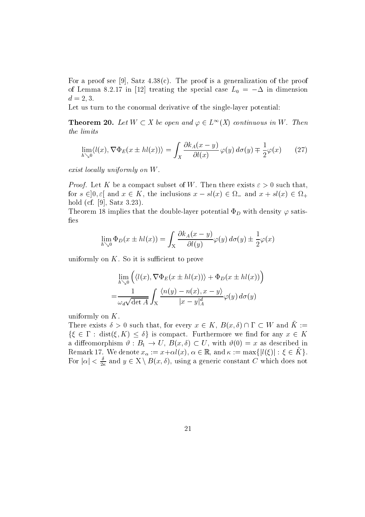For a proof see - Satz c The proof is a generalization of the proof of Lemma 8.2.17 in [12] treating the special case  $L_0 = -\Delta$  in dimension  $d = 2, 3.$ 

Let us turn to the conormal derivative of the single-layer potential:

**Theorem 20.** Let  $W \subset A$  be open and  $\varphi \in L^{\infty}(A)$  continuous in W. Then the limits

$$
\lim_{h \searrow 0} \langle l(x), \nabla \Phi_E(x \pm hl(x)) \rangle = \int_X \frac{\partial k_A(x - y)}{\partial l(x)} \varphi(y) \, d\sigma(y) \mp \frac{1}{2} \varphi(x) \tag{27}
$$

exist locally uniformly on  $W$ .

Proof- Let K be a compact subset of W Then there exists such that for  $s \in [0, \varepsilon]$  and  $x \in \mathbb{A}$ , the inclusions  $x - s\iota(x) \in \Omega$  and  $x + s\iota(x) \in \Omega$ . hold cf - Satz

The doublelayer potential  $\mathcal{P}$  is the doublelayer potential  $\mathcal{P}$ fies

$$
\lim_{h \searrow 0} \Phi_D(x \pm hl(x)) = \int_X \frac{\partial k_A(x - y)}{\partial l(y)} \varphi(y) d\sigma(y) \pm \frac{1}{2} \varphi(x)
$$

uniformly on  $K$ . So it is sufficient to prove

$$
\lim_{h \searrow 0} \left( \langle l(x), \nabla \Phi_E(x \pm hl(x)) \rangle + \Phi_D(x \pm hl(x)) \right)
$$
  
= 
$$
\frac{1}{\omega_d \sqrt{\det A}} \int_X \frac{\langle n(y) - n(x), x - y \rangle}{|x - y|_A^d} \varphi(y) d\sigma(y)
$$

uniformly on  $K$ .

There exists  $0 > 0$  such that, for every  $x \in K$ ,  $B(x, 0)$  if  $1 \subset W$  and  $K :=$  $\{ \zeta \in I \; : \; \text{dist}(\zeta, K) \leq \theta \}$  is compact. Furthermore we find for any  $x \in K$ a diffeomorphism  $\vartheta : B_1 \to U$ ,  $B(x, \delta) \subset U$ , with  $\vartheta(0) = x$  as described in Remark 17. We denote  $x_{\alpha} := x + \alpha \iota(x)$ ,  $\alpha \in \mathbb{R}$ , and  $\kappa := \max\{|\iota(\xi)| : \xi \in \Lambda\}$ . For  $|\alpha| \leq \frac{1}{2\kappa}$  and  $y \in X \setminus B(x, 0)$ , using a generic constant C which does not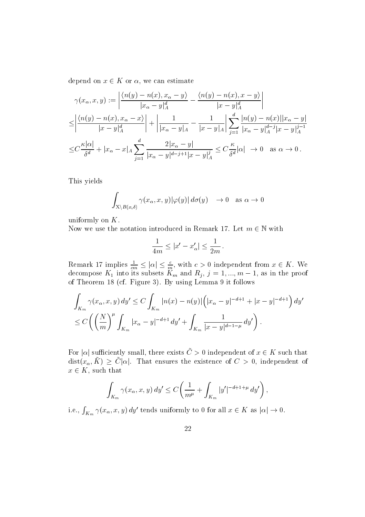depend on  $x \in \mathbf{A}$  or  $\alpha$ , we can estimate

$$
\gamma(x_{\alpha}, x, y) := \left| \frac{\langle n(y) - n(x), x_{\alpha} - y \rangle}{|x_{\alpha} - y|_{A}^{d}} - \frac{\langle n(y) - n(x), x - y \rangle}{|x - y|_{A}^{d}} \right|
$$
  
\n
$$
\leq \left| \frac{\langle n(y) - n(x), x_{\alpha} - x \rangle}{|x - y|_{A}^{d}} \right| + \left| \frac{1}{|x_{\alpha} - y|_{A}} - \frac{1}{|x - y|_{A}} \right| \sum_{j=1}^{d} \frac{|n(y) - n(x)||x_{\alpha} - y|}{|x_{\alpha} - y|_{A}^{d-j}|x - y|_{A}^{j-1}}
$$
  
\n
$$
\leq C \frac{\kappa |\alpha|}{\delta^{d}} + |x_{\alpha} - x|_{A} \sum_{j=1}^{d} \frac{2|x_{\alpha} - y|}{|x_{\alpha} - y|^{d-j+1}|x - y|_{A}^{j}} \leq C \frac{\kappa}{\delta^{d}} |\alpha| \to 0 \text{ as } \alpha \to 0.
$$

This yields

$$
\int_{X \setminus B(x,\delta)} \gamma(x_{\alpha}, x, y) |\varphi(y)| d\sigma(y) \longrightarrow 0 \text{ as } \alpha \to 0
$$

uniformly on  $K$ .

Now we use the notation introduced in Remark 17. Let  $m \in \mathbb{N}$  with

ntroduced in Remark 17. Let 
$$
n
$$
  

$$
\frac{1}{4m} \le |x' - x'_\alpha| \le \frac{1}{2m}.
$$

 $\frac{1}{4m} \le |x'-x'_{\alpha}| \le \frac{1}{2m}.$ <br>Remark 17 implies  $\frac{1}{cm} \le |\alpha| \le \frac{c}{m}$ , with  $c > 0$  independent from  $x \in K$ . We decompose  $K_1$  into its subsets  $K_m$  and  $K_i$ ,  $j = 1, ..., m - 1$ , as in the proof of Theorem cf Figure By using Lemma it follows

$$
\int_{K_m} \gamma(x_\alpha, x, y) dy' \le C \int_{K_m} |n(x) - n(y)| \left( |x_\alpha - y|^{-d+1} + |x - y|^{-d+1} \right) dy' \n\le C \left( \left( \frac{N}{m} \right)^{\mu} \int_{K_m} |x_\alpha - y|^{-d+1} dy' + \int_{K_m} \frac{1}{|x - y|^{d-1 - \mu}} dy' \right).
$$

For  $|\alpha|$  sumclently small, there exists  $C > 0$  independent of  $x \in \mathbf{A}$  such that dist $(x_{\alpha}, \mathbf{A}) \geq \mathbf{C}|\alpha|$ . That ensures the existence of  $\mathbf{C} > 0$ , independent of  $x \in K$ , such that

$$
\int_{K_m} \gamma(x_{\alpha}, x, y) dy' \le C \left( \frac{1}{m^{\mu}} + \int_{K_m} |y'|^{-d+1+\mu} dy' \right),
$$
  
i.e.,  $\int_{K_m} \gamma(x_{\alpha}, x, y) dy'$  tends uniformly to 0 for all  $x \in K$  as  $|\alpha| \to 0$ .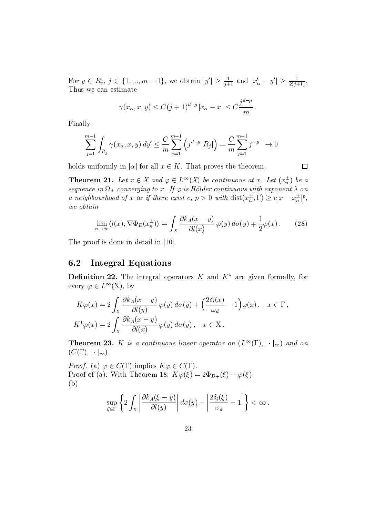For  $y \in R_j$ ,  $j \in \{1, ..., m-1\}$ , we obtain  $|y| \ge \frac{1}{j+1}$  and  $|x_{\alpha} - y| \ge \frac{1}{2(j+1)}$ . Thus we can estimate

imate  

$$
\gamma(x_{\alpha}, x, y) \le C(j+1)^{d-\mu} |x_{\alpha} - x| \le C \frac{j^{d-\mu}}{m}.
$$

$$
\sum_{j=1}^{m-1} \int_{R_j} \gamma(x_{\alpha}, x, y) dy' \leq \frac{C}{m} \sum_{j=1}^{m-1} \left( j^{d-\mu} |R_j| \right) = \frac{C}{m} \sum_{j=1}^{m-1} j^{-\mu} \to 0
$$

holds uniformly in  $|\alpha|$  for all  $x \in \mathbb{A}$ . That proves the theorem.

**Theorem 21.** Let  $x \in A$  and  $\varphi \in L^{\infty}(A)$  be continuous at x. Let  $(\bar{x}_n^{-})$  be a sequence in  $c$  is the continuous with the continuous with exponent  $\mathcal{L}$ a neighbourhood of x or y there exist c,  $p > 0$  with  $dist(x_n^{-}, 1) \ge c |x - x_n^{-}|^{\epsilon}$ , we obtain

$$
\lim_{n \to \infty} \langle l(x), \nabla \Phi_E(x_n^{\pm}) \rangle = \int_X \frac{\partial k_A(x - y)}{\partial l(x)} \varphi(y) \, d\sigma(y) \mp \frac{1}{2} \varphi(x) \,. \tag{28}
$$

 $\Box$ 

The proof is done in the contract in the proof is a set of the contract of  $\mathcal{L}$ 

#### 6.2 Integral Equations

**Definition 22.** The integral operators  $K$  and  $K$  are given formally, for every  $\varphi \in L^{\infty}(\Lambda)$ , by

$$
K\varphi(x) = 2\int_X \frac{\partial k_A(x-y)}{\partial l(y)} \varphi(y) d\sigma(y) + \left(\frac{2\delta_i(x)}{\omega_d} - 1\right) \varphi(x), \quad x \in \Gamma,
$$
  

$$
K^*\varphi(x) = 2\int_X \frac{\partial k_A(x-y)}{\partial l(x)} \varphi(y) d\sigma(y), \quad x \in X.
$$

**Theorem 25.** A is a continuous tinear operator on  $(L^{\text{-}}(1), |\cdot|_{\infty})$  and on  $(C(\Gamma), |\cdot|_{\infty}).$ 

*Proof.* (a)  $\varphi \in C(1)$  implies  $\Lambda \varphi \in C(1)$ . Proof of (a): With Theorem 18:  $\Lambda \varphi(\xi) = 2\Psi_{D+}(\xi) - \varphi(\xi)$ . b

$$
\sup_{\xi \in \Gamma} \left\{ 2 \int_{X} \left| \frac{\partial k_A(\xi - y)}{\partial l(y)} \right| d\sigma(y) + \left| \frac{2 \delta_i(\xi)}{\omega_d} - 1 \right| \right\} < \infty.
$$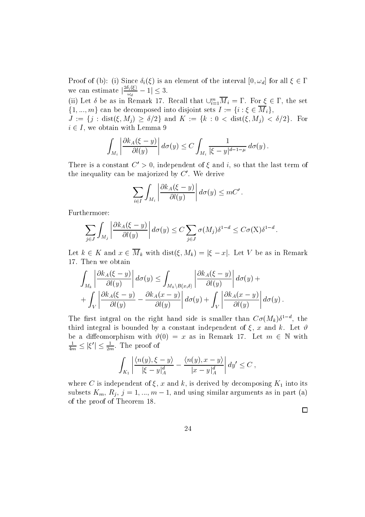Proof of (b): (1) since  $\sigma_i(\xi)$  is an element of the interval  $[0, \omega_d]$  for all  $\xi \in I$ we can estimate  $\left|\frac{\partial u}{\partial d}\right| - 1 \leq \delta$ .  $\binom{1}{2}$  is an eler

(ii) Let *o* be as in Remark 17. Recall that  $\bigcup_{i=1}^{\infty} M_i = 1$ . For  $\xi \in I$ , the set  $\{1, ..., m\}$  can be decomposed into disjoint sets  $T := \{i : \xi \in M_i\},\$ 

 $J := \{j : \text{dist}(\xi, M_j) \geq 0/2\}$  and  $K := \{K : 0 \leq \text{dist}(\xi, M_j) \leq 0/2\}$ . For  $i \in I$ , we obtain with Lemma  $\beta$ 

$$
\int_{M_i} \left| \frac{\partial k_A(\xi - y)}{\partial l(y)} \right| d\sigma(y) \leq C \int_{M_i} \frac{1}{|\xi - y|^{d-1-\mu}} d\sigma(y).
$$

There is a constant  $C' > 0$ , independent of  $\xi$  and i, so that the last term of the inequality can be majorized by  $C'$ . We derive

$$
\sum_{i\in I}\int_{M_i}\left|\frac{\partial k_A(\xi-y)}{\partial l(y)}\right|d\sigma(y)\leq mC'\,.
$$

Furthermore

$$
\sum_{j\in J}\int_{M_j}\left|\frac{\partial k_A(\xi-y)}{\partial l(y)}\right|d\sigma(y)\leq C\sum_{j\in J}\sigma(M_j)\delta^{1-d}\leq C\sigma(X)\delta^{1-d}.
$$

Let  $\kappa \in \mathbb{R}$  and  $x \in M_k$  with dist( $\zeta, M_k$ )  $\equiv |\zeta - x|$ . Let V be as in Remark

$$
\int_{M_k} \left| \frac{\partial k_A(\xi - y)}{\partial l(y)} \right| d\sigma(y) \leq \int_{M_k \setminus B(x,\delta)} \left| \frac{\partial k_A(\xi - y)}{\partial l(y)} \right| d\sigma(y) + \n+ \int_V \left| \frac{\partial k_A(\xi - y)}{\partial l(y)} - \frac{\partial k_A(x - y)}{\partial l(y)} \right| d\sigma(y) + \int_V \left| \frac{\partial k_A(x - y)}{\partial l(y)} \right| d\sigma(y).
$$

The first integral on the right hand side is smaller than  $CO(Mk)$  , the third integral is bounded by a constant independent of  $\xi$ , x and k. Let  $\vartheta$ be a diffeomorphism with  $v(y) = x$  as in Remark 17. Let  $m \in \mathbb{N}$  with - - third integral is bounded by a consta<br>be a diffeomorphism with  $\vartheta(0) = x$ <br> $\frac{1}{4m} \le |\xi'| \le \frac{1}{2m}$ . The proof of tegral is bo<br>ffeomorphis<br> $y \geq 1$ 

$$
\int_{K_1} \left| \frac{\langle n(y), \xi - y \rangle}{|\xi - y|_A^d} - \frac{\langle n(y), x - y \rangle}{|x - y|_A^d} \right| dy' \le C,
$$

where C is independent of  $\xi$ , x and k, is derived by decomposing  $K_1$  into its subsets  $K_m, K_i, j = 1, ..., m - 1$ , and using similar arguments as in part (a) of the proof of the proof of Theorem , we have the proof of Theorem , we have the proof of Theorem , we have the proof of  $\mathcal{O}(n)$ 

 $\Box$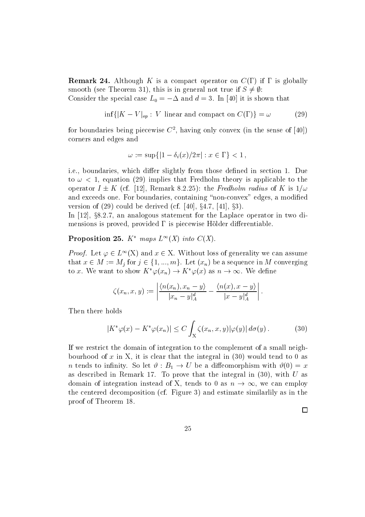remark - Although K is a compact operator on C if is a compact of  $\mathcal{A}$ smooth (see Theorem 31), this is in general not true if  $S \neq \emptyset$ :

Consider the special case  $L_0 = -\Delta$  and  $a = 3$ . In [40] it is shown that

$$
\inf\{|K - V|_{op} : V| \text{linear and compact on } C(\Gamma)\} = \omega \tag{29}
$$

for boundaries being piecewise  $\mathbb{C}^+$ , naving only convex (in the sense of  $[40]$ ) corners and edges and

$$
\omega := \sup\{|1 - \delta_i(x)/2\pi| : x \in \Gamma\} < 1
$$

ie boundaries which dier slightly from those dened in section Due to the contract of the contract to the contract of the contract of the contract of the contract of the contract of the contract of the contract of the contract of the contract of the contract of the contract of the contrac operator  $I \pm K$  (cf. [12], Remark 8.2.25]: the *Fredholm radius* of K is  $1/\omega$ and exceeds one. For boundaries, containing "non-convex" edges, a modified version of (29) could be defived (cf.  $[40], 94.7, 41], 95$ ).

In  $|12|$ ,  $\S$ 8.2.7, an analogous statement for the Laplace operator in two dimensions is proved, provided  $\Gamma$  is piecewise Hölder differentiable.

# **Proposition 25.** A maps  $L^-(A)$  and  $C(A)$ .

Proof. Let  $\varphi \in L^{\infty}(\Lambda)$  and  $x \in \Lambda$ . Without loss of generality we can assume that  $x \in M := M_j$  for  $j \in \{1, ..., m\}$ . Let  $(x_n)$  be a sequence in M converging  $f: X \in X$ . *Proof.* Let  $\varphi \in L^{\infty}(\mathbf{X})$  and  $x \in \mathbf{X}$ . Without loss of generality we can assumthat  $x \in M := M_j$  for  $j \in \{1, ..., m\}$ . Let  $(x_n)$  be a sequence in M convergiour to x. We want to show  $K^*\varphi(x_n) \to K^*\varphi(x)$  as  $n \to \infty$ . We

$$
\zeta(x_n, x, y) := \left| \frac{\langle n(x_n), x_n - y \rangle}{|x_n - y|_A^d} - \frac{\langle n(x), x - y \rangle}{|x - y|_A^d} \right|.
$$

Then there holds

holds  
\n
$$
|K^*\varphi(x) - K^*\varphi(x_n)| \le C \int_X \zeta(x_n, x, y) |\varphi(y)| d\sigma(y).
$$
\n(30)

If we restrict the domain of integration to the complement of a small neigh bourhood of x in X, it is clear that the integral in  $(30)$  would tend to 0 as *n* tends to infinity. So let  $\vartheta : B_1 \to U$  be a diffeomorphism with  $\vartheta(0) = x$ as described in Remark . To prove that the integral in  $\mathcal{A}$ domain of integration instead of X, tends to 0 as  $n \to \infty$ , we can employ the centered decomposition (cf. Figure 3) and estimate similarlily as in the provided the contract of the contract of the contract of the contract of the contract of the contract of the contract of the contract of the contract of the contract of the contract of the contract of the contract of the c

 $\Box$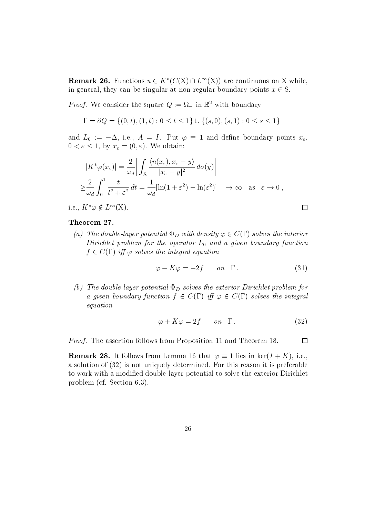**Remark 20.** Functions  $u \in \Lambda$   $(C(\Lambda) \cap L^{\infty}(\Lambda))$  are continuous on  $\Lambda$  while, in general, they can be singular at non-regular boundary points  $x \in S$ .

*Proof*. We consider the square  $Q := \Omega_{\text{min}}$  with boundary

$$
\Gamma = \partial Q = \{ (0, t), (1, t) : 0 \le t \le 1 \} \cup \{ (s, 0), (s, 1) : 0 \le s \le 1 \}
$$

and  $L_0$  :=  $-\Delta$ , i.e.,  $A = I$ . Fut  $\varphi = I$  and define boundary points  $x_\varepsilon$ ,  $0 \leq \varepsilon \leq 1$ , by  $x_{\varepsilon} = (0, \varepsilon)$ . We obtain:

$$
|K^*\varphi(x_{\varepsilon})| = \frac{2}{\omega_d} \left| \int_X \frac{\langle n(x_{\varepsilon}), x_{\varepsilon} - y \rangle}{|x_{\varepsilon} - y|^2} d\sigma(y) \right|
$$
  

$$
\geq \frac{2}{\omega_d} \int_0^1 \frac{t}{t^2 + \varepsilon^2} dt = \frac{1}{\omega_d} [\ln(1 + \varepsilon^2) - \ln(\varepsilon^2)] \longrightarrow \infty \text{ as } \varepsilon \to 0,
$$

1.e.,  $\Lambda \varphi \notin L^{\infty}(\Lambda)$ .

# Theorem 27.

(a) The abuble-layer potential  $\Psi_D$  with density  $\varphi \in C(1)$  solves the interior Dirichlet problem for the operator  $L_0$  and a given boundary function  $\tau \in C(1)$  if  $\varphi$  solves the integral equation

$$
\varphi - K\varphi = -2f \qquad on \quad \Gamma \,. \tag{31}
$$

 $\Box$ 

(b) The double-layer potential  $\Phi_D$  solves the exterior Dirichlet problem for a qiven boundary function  $\eta \in C(1)$  iff  $\varphi \in C(1)$  solves the integral equation

$$
\varphi + K\varphi = 2f \qquad on \quad \Gamma \,. \tag{32}
$$

Proof- The assertion follows from Proposition and Theorem

**Remark 28.** It follows from Lemma 10 that  $\varphi = 1$  lies in ker $(I + \Lambda)$ , i.e., a solution of  $(32)$  is not uniquely determined. For this reason it is preferable to work with a modified double-layer potential to solve the exterior Dirichlet problem (cf. Section  $6.3$ ).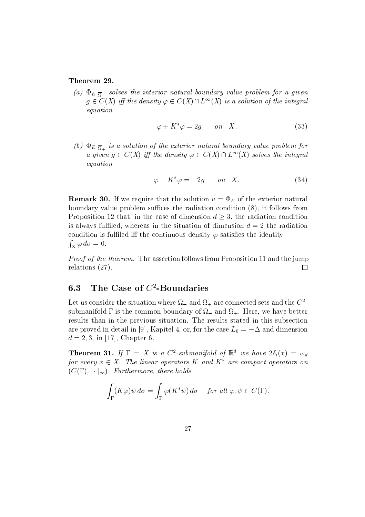(a)  $\Psi_{E|\overline{\Omega}}$  solves the interior natural boundary value problem for a given  $q \in C(\Lambda)$  iff the density  $\varphi \in C(\Lambda) \sqcup L^{\infty}(\Lambda)$  is a solution of the integral equation

$$
\varphi + K^* \varphi = 2g \qquad on \quad X. \tag{33}
$$

(b)  $\Psi_{E}|\overline{\Omega}_{+}$  is a solution of the exterior natural boundary value problem for a qiven  $q \in C(\Lambda)$  iff the density  $\varphi \in C(\Lambda) \cap L^{\infty}(\Lambda)$  solves the integral equation

$$
\varphi - K^* \varphi = -2g \qquad on \quad X. \tag{34}
$$

remarks that the solution up that the solution user the solution  $\mathbb{E}_B$  is the solution up to the exterior boundary value problem suffices the radiation condition  $(8)$ , it follows from Proposition 12 that, in the case of dimension  $a \geq 3$ , the radiation condition is always fulfiled, whereas in the situation of dimension  $d = 2$  the radiation condition is fulfiled iff the continuous density  $\varphi$  satisfies the identity  $\int_{X} \varphi \, d\sigma = 0.$ 

Proof of the theorem- The assertion follows from Proposition and the jump relations  $(27)$ . □

#### 6.3 The Case of  $C^2$ -Boundaries

Let us consider the situation where  $\Omega_-$  and  $\Omega_+$  are connected sets and the  $C$  submanifold  $\mathbf{H}$ results than in the previous situation. The results stated in this subsection are proved in detail in  $|\vartheta|$ , Kapitel 4, or, for the case  $L_0 \equiv -\Delta$  and dimension d in - Chapter 

**Theorem 51.** If  $I = A$  is a C<sup>-</sup>-submanifold of  $\mathbb{R}^n$  we have  $2\mathcal{O}_i(x) = \mathcal{O}_d$ for every  $x \in A$ . The unear operators  $K$  and  $K$  are compact operators on  $(C(1), \|\cdot\|_{\infty})$ . Furthermore, there holds

$$
\int_{\Gamma} (K\varphi)\psi \,d\sigma = \int_{\Gamma} \varphi(K^*\psi) \,d\sigma \quad \text{ for all } \varphi, \psi \in C(\Gamma).
$$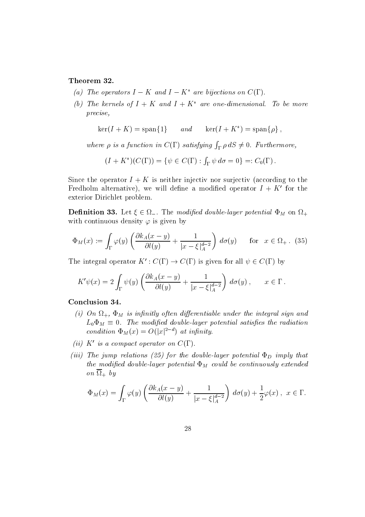# Theorem 32.

- (a) The operators  $I K$  and  $I K^*$  are bijections on  $C(\Gamma)$ .
- (0) The kernels of  $I + K$  and  $I + K$  are one-almensional. To be more precise

$$
\ker(I + K) = \text{span}\{1\} \qquad and \qquad \ker(I + K^*) = \text{span}\{\rho\} \;,
$$

where  $\rho$  is a function in  $C(\Gamma)$  satisfying  $\int_{\Gamma} \rho \, dS \neq 0$ . Furthermore,

$$
(I + K^*)(C(\Gamma)) = \{ \psi \in C(\Gamma) : \int_{\Gamma} \psi \, d\sigma = 0 \} =: C_0(\Gamma).
$$

Since the operator  $I + K$  is neither injective nor surjective (according to the Fredholm alternative), we will define a modified operator  $I + K'$  for the exterior Dirichlet problem

**Denmition 33.** Let  $\xi \in \Omega$ . The modified double-layer potential  $\Psi_M$  on  $\Omega_+$ with continuous density  $\varphi$  is given by

$$
\Phi_M(x) := \int_{\Gamma} \varphi(y) \left( \frac{\partial k_A(x - y)}{\partial l(y)} + \frac{1}{|x - \xi|_A^{d-2}} \right) d\sigma(y) \quad \text{for} \quad x \in \Omega_+ \, . \tag{35}
$$

The integral operator  $K : C(I) \to C(I)$  is given for all  $\psi \in C(I)$  by

$$
K'\psi(x) = 2\int_{\Gamma} \psi(y) \left( \frac{\partial k_A(x-y)}{\partial l(y)} + \frac{1}{|x-\xi|_A^{d-2}} \right) d\sigma(y), \qquad x \in \Gamma.
$$

### Conclusion 34.

- is in the innitial sign of the innitial signal signal signal signal signal signal signal signal signal signal  $L_0 \Psi_M = 0$ . The modified double-layer potential satisfies the radiation condition  $\Phi_M(x) = O(|x|^{2-d})$  at infinity.
- (ii) K' is a compact operator on  $C(\Gamma)$ .
- (iii) The jump relations (25) for the double-layer potential  $\Phi_D$  imply that the modified double-layer potential  $\Phi_M$  could be continuously extended  $\overline{\phantom{a}}$  by  $\overline{\phantom{a}}$

$$
\Phi_M(x) = \int_{\Gamma} \varphi(y) \left( \frac{\partial k_A(x - y)}{\partial l(y)} + \frac{1}{|x - \xi|_A^{d-2}} \right) d\sigma(y) + \frac{1}{2} \varphi(x), \quad x \in \Gamma.
$$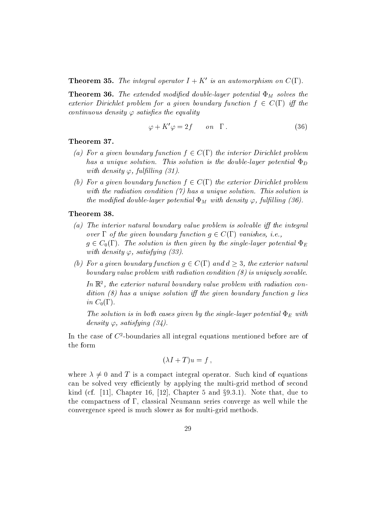**Theorem 55.** The integral operator  $I + K$  is an automorphism on  $C(I)$ .

 $T$  . The extended modified modified modified down  $\boldsymbol{M}$  is the solves the solves the solves the solves the solves the solves the solves the solves the solves the solves the solves the solves the solves the solves the exterior Dirichlet problem for a qiven boundary function  $\mathfrak{f} \in \mathbb{C}(1)$  iff the continuous density  $\varphi$  satisfies the equality

$$
\varphi + K'\varphi = 2f \qquad on \quad \Gamma \,. \tag{36}
$$

### Theorem 37.

- (a) For a qiven boundary function  $\mathfrak{f}\in\mathbb{C}(1)$  the interior Dirichlet problem has a unique solution-solution-solution-solution-solution-solution-solution-solution is  $p$ with density  $\varphi$ , fulfilling (31).
- (v) For a qiven boundary function  $\mathfrak{f}\in\mathbb{C}(1)$  the exterior Dirichlet problem with the radiation condition-  $\mathbf{r}$  unique solution-solution-solution-solution-solution-solution-solution-solution-solution-solution-solution-solution-solution-solution-solution-solution-solution-solution-solution-solu the modified double-layer potential  $\Phi_M$  with density  $\varphi$ , fulfilling (36).

# Theorem 38.

- (a) The interior natural boundary value problem is solvable iff the integral over  $\Gamma$  of the qiven boundary function  $q \in C(\Gamma)$  vanishes, i.e.,  $g \in C_0(1)$ . The solution is then given by the single-tayer potential  $\Psi_E$ with density  $\varphi$ , satisfying (33).
- (v) For a qiven boundary function  $q \in C(1)$  and  $a \geq 3$ , the exterior natural boundary value problem with radiation condition  $(8)$  is uniquely sovable.

In <sup>R</sup> the exterior natural boundary value problem with radiation con  $dition (8) has a unique solution iff the given boundary function g lies$ in  $C_0(\Gamma)$ .

The solution is in both cases given by the single-layer potential  $\Phi_E$  with density  $\varphi$ , satisfying (34).

In the case of C boundaries all integral equations mentioned before are of the form

$$
(\lambda I + T)u = f,
$$

where  $\lambda \neq 0$  and T is a compact integral operator. Such kind of equations can be solved very efficiently by applying the multi-grid method of second kind (cf. [11], Chapter 10, [12], Chapter 5 and  $\S 9.5.1$ ]. Note that, due to the compactness of  $\Gamma$ , classical Neumann series converge as well while the convergence speed is much slower as for multi-grid methods.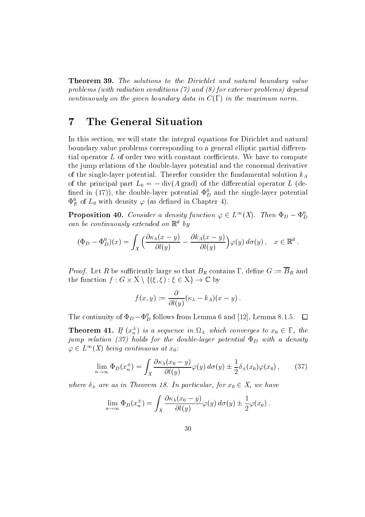Theorem - The solutions to the Dirichlet und natural boundary value problems (with radiation conditions  $(7)$  and  $(8)$  for exterior problems) depend continuously on the given boundary data in  $C(\Gamma)$  in the maximum norm.

#### $\overline{7}$ The General Situation

In this section, we will state the integral equations for Dirichlet and natural boundary value problems corresponding to a general elliptic partial differential operator  $L$  of order two with constant coefficients. We have to compute the jump relations of the doublelayer potential and the conormal derivative of the single-layer potential. Therefor consider the fundamental solution  $k_A$ of the principal part  $L_0 = -\text{div}(A \text{ grad})$  of the differential operator L (denned in (17)), the double-layer potential  $\Psi_D^-$  and the single-layer potential  $\Psi_E$  of  $L_0$  with density  $\varphi$  (as defined in Chapter 4).

**Proposition 40.** Consultr a density function  $\varphi \in L^{\infty}(\Lambda)$ . Then  $\Psi_D - \Psi_D$ can be continuously extended on  $\mathbb{R}^d$  by

$$
(\Phi_D - \Phi_D^0)(x) = \int_X \left( \frac{\partial \kappa_\lambda(x - y)}{\partial l(y)} - \frac{\partial k_A(x - y)}{\partial l(y)} \right) \varphi(y) d\sigma(y), \quad x \in \mathbb{R}^d.
$$

 $\mu$  - From and BR contains it are so that BR contains it and BR contains it and BR and BR contains it and BR and BR and BR and BR and BR and BR and BR and BR and BR and BR and BR and BR and BR and BR and BR and BR and BR *Proof.* Let R be sufficiently large so that  $B_R$  contains  $\Gamma$ , defit the function  $f : G \times X \setminus \{(\xi, \xi) : \xi \in X\} \to \mathbb{C}$  by

$$
f(x,y) := \frac{\partial}{\partial l(y)} (\kappa_{\lambda} - k_A)(x - y) .
$$

The continuity of  $\Psi_D - \Psi_D^*$  follows from Lemma 6 and [12], Lemma 8.1.5.  $\Box$ 

**Theorem 41.** If  $(x_n^-)$  is a sequence in  $\Omega_{\pm}$  which converges to  $x_0 \in \Gamma$ , the jump relation (37) holds for the double-layer potential  $\Phi_D$  with a density  $\varphi \in L^{\infty}(\Lambda)$  being continuous at  $x_0$ :

$$
\lim_{n \to \infty} \Phi_D(x_n^{\pm}) = \int_X \frac{\partial \kappa_\lambda(x_0 - y)}{\partial l(y)} \varphi(y) \, d\sigma(y) \pm \frac{1}{2} \delta_{\pm}(x_0) \varphi(x_0) \,, \tag{37}
$$

where  $o_{\pm}$  are as in Incorem 10. In particular, for  $x_0 \in A$ , we have

$$
\lim_{n \to \infty} \Phi_D(x_n^{\pm}) = \int_X \frac{\partial \kappa_\lambda(x_0 - y)}{\partial l(y)} \varphi(y) d\sigma(y) \pm \frac{1}{2} \varphi(x_0).
$$
  
30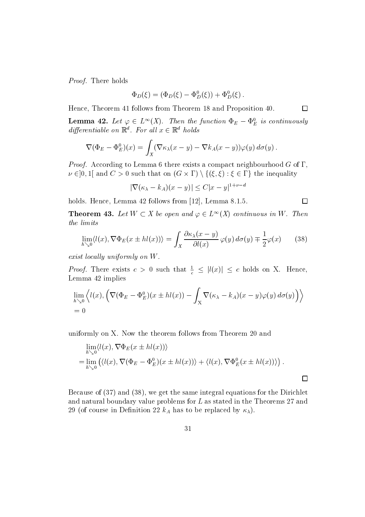Proof- There holds

$$
\Phi_D(\xi) = (\Phi_D(\xi) - \Phi_D^0(\xi)) + \Phi_D^0(\xi).
$$

 $\Box$ 

 $\Box$ 

Hence Theorem follows from Theorem and Proposition 

**Lemma 42.** Let  $\varphi \in L^{\infty}(\Lambda)$ . Then the function  $\Psi_E - \Psi_E$  is continuously  $a$ ifferentiable on  $\mathbb{R}^n$ . For all  $x \in \mathbb{R}^n$  holds

*entiable on* 
$$
\mathbb{R}^d
$$
. For all  $x \in \mathbb{R}^d$  holds  
\n
$$
\nabla(\Phi_E - \Phi_E^0)(x) = \int_X (\nabla \kappa_\lambda(x - y) - \nabla k_A(x - y)) \varphi(y) d\sigma(y).
$$

Proof- According to Lemma  there exists a compact neighbourhood G of  $\nu \in [0,1]$  and  $\cup > 0$  such that on  $(G \times 1) \setminus \{( \zeta, \zeta) : \zeta \in 1 \}$  the inequality  $J_X$ <br>ccording to Lemma 6 there exists a compact neighbor<br>and  $C > 0$  such that on  $(G \times \Gamma) \setminus \{(\xi, \xi) : \xi \in \Gamma\}$  the that on  $(G \times \Gamma) \setminus \{(\xi, \xi) : \xi \in \Gamma\}$  the<br>  $\lambda - k_A |(x - y)| \le C|x - y|^{1 + \nu - d}$ 

$$
|\nabla(\kappa_{\lambda} - k_A)(x - y)| \le C|x - y|^{1+\nu-d}
$$

holds Hence Lemma for the complete  $\mathcal{L}$  , and  $\mathcal{L}$ 

**Theorem 45.** Let  $W \subset A$  be open and  $\varphi \in L^{\infty}(A)$  continuous in W. Then the limits

$$
\lim_{h \searrow 0} \langle l(x), \nabla \Phi_E(x \pm hl(x)) \rangle = \int_X \frac{\partial \kappa_\lambda(x - y)}{\partial l(x)} \varphi(y) \, d\sigma(y) \mp \frac{1}{2} \varphi(x) \tag{38}
$$

exist locally uniformly on  $W$ .

*Proof.* There exists  $c > 0$  such that  $\frac{1}{c} \leq |l(x)| \leq c$  holds on X. Hence, Lemma 42 implies

$$
\lim_{h \searrow 0} \left\langle l(x), \left( \nabla (\Phi_E - \Phi_E^0)(x \pm hl(x)) - \int_X \nabla (\kappa_\lambda - k_A)(x - y) \varphi(y) d\sigma(y) \right) \right\rangle
$$
  
= 0

uniformly on X. Now the theorem follows from Theorem 20 and

$$
\lim_{h \searrow 0} \langle l(x), \nabla \Phi_E(x \pm hl(x)) \rangle
$$
  
= 
$$
\lim_{h \searrow 0} (\langle l(x), \nabla (\Phi_E - \Phi_E^0)(x \pm hl(x)) \rangle + \langle l(x), \nabla \Phi_E^0(x \pm hl(x)) \rangle).
$$

Because of  $(37)$  and  $(38)$ , we get the same integral equations for the Dirichlet and natural boundary value problems for  $L$  as stated in the Theorems 27 and  $\blacksquare$  of course in Denition in Denition  $\mu$  in Denition  $\mu$  and  $\mu$  and  $\mu$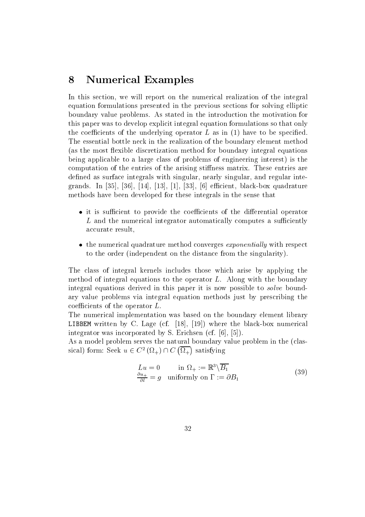#### 8 Numerical Examples

In this section, we will report on the numerical realization of the integral equation formulations presented in the previous sections for solving elliptic boundary value problems As stated in the introduction the motivation for this paper was to develop explicit integral equation formulations so that only the coecients of the underlying operator  $\mathbf{r}$  as in  $\mathbf{r}$  in  $\mathbf{r}$  as in  $\mathbf{r}$ The essential bottle neck in the realization of the boundary element method (as the most flexible discretization method for boundary integral equations being applicable to a large class of problems of engineering interest) is the computation of the entries of the arising stiffness matrix. These entries are defined as surface integrals with singular, nearly singular, and regular inte- $\mathbf{r}$ methods have been developed for these integrals in the sense that

- $\bullet$  it is sumclent to provide the coemclents of the dimerential operator  $\bullet$  $L$  and the numerical integrator automatically computes a sufficiently accurate result
- $\bullet$  the numerical quadrature method converges  $exponential$  with respect to the order (independent on the distance from the singularity).

The class of integral kernels includes those which arise by applying the method of integral equations to the operator  $L$ . Along with the boundary integral equations derived in this paper it is now possible to *solve* boundary value problems via integral equation methods just by prescribing the coefficients of the operator  $L$ .

The numerical implementation was based on the boundary element library LIBBEM written by C Lage cf - - where the blackbox numerical integration and the corporated by S Erichsen cf -  $\alpha$  -section cf -  $\alpha$  -section cf -  $\alpha$ 

As a model problem serves the natural boundary value problem in the (classical) form: Seek  $u \in C^2(\Omega_+) \cap C(\overline{\Omega_+})$  satisfy - satisfying the same  $\sim$ 

Lu in - <sup>R</sup> nB u  l <sup>g</sup> uniformly on B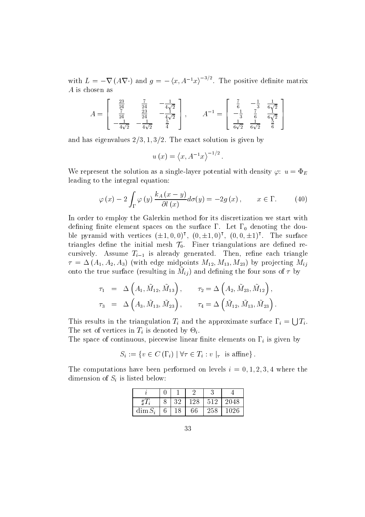with  $L = -\nabla (A\nabla \cdot)$  and  $q = -\langle x, A^{-1}x \rangle^{-3/2}$ . The positive definite matrix A is chosen as

$$
A = \begin{bmatrix} \frac{23}{24} & \frac{7}{24} & -\frac{1}{4\sqrt{2}} \\ \frac{7}{24} & \frac{23}{24} & -\frac{1}{4\sqrt{2}} \\ -\frac{1}{4\sqrt{2}} & -\frac{1}{4\sqrt{2}} & \frac{5}{4} \end{bmatrix}, \qquad A^{-1} = \begin{bmatrix} \frac{7}{6} & -\frac{1}{3} & \frac{1}{6\sqrt{2}} \\ -\frac{1}{3} & \frac{7}{6} & \frac{1}{6\sqrt{2}} \\ \frac{1}{6\sqrt{2}} & \frac{1}{6\sqrt{2}} & \frac{5}{6} \end{bmatrix}
$$

and definition is given by  $\mathcal{L}_1$  ,  $\mathcal{L}_2$  , we are the exact solution is given by  $\mathcal{L}_2$ 

$$
u(x) = \langle x, A^{-1}x \rangle^{-1/2}
$$
.

We represent the solution as a single-layer potential with density  $\varphi$ :  $u = \Phi_E$ leading to the integral equation

$$
\varphi(x) - 2 \int_{\Gamma} \varphi(y) \frac{k_A(x - y)}{\partial l(x)} d\sigma(y) = -2g(x), \qquad x \in \Gamma. \tag{40}
$$

In order to employ the Galerkin method for its discretization we start with defining finite element spaces on the surface  $\Gamma$ . Let  $\Gamma_0$  denoting the double pyramid with vertices  $(\pm 1, 0, 0)$ ',  $(0, \pm 1, 0)$ ',  $(0, 0, \pm 1)$ '. The surface triangles define the initial mesh  $\mathcal{T}_0$ . Finer triangulations are defined recursively. Assume  $T_{i-1}$  is already generated. Then, refine each triangle  $\tau = \Delta(A_1, A_2, A_3)$  (with edge midpoints  $M_{12}, M_{13}, M_{23}$ ) by projecting  $M_{ij}$ onto the true surface (resulting in  $m_{ij}$ ) and denining the four sons of  $\iota$  by

$$
\tau_1 = \Delta \left( A_1, \tilde{M}_{12}, \tilde{M}_{13} \right), \qquad \tau_2 = \Delta \left( A_2, \tilde{M}_{23}, \tilde{M}_{12} \right), \tau_3 = \Delta \left( A_3, \tilde{M}_{13}, \tilde{M}_{23} \right), \qquad \tau_4 = \Delta \left( \tilde{M}_{12}, \tilde{M}_{13}, \tilde{M}_{23} \right).
$$

This results in the triangulation  $T_i$  and the approximate surface  $\Gamma_i = \bigcup T_i$ . The set of vertices in  $T_i$  is denoted by  $\Theta_i$ .

The space of continuous piecewise linear nite elements on interesting and in  $\Omega$  is given by

ntinuous, piecewise linear finite elements on 
$$
\Gamma_i
$$
 is gi  

$$
S_i := \{ v \in C(\Gamma_i) \mid \forall \tau \in T_i : v \mid_{\tau} \text{ is affine} \}.
$$

The computations have been performed on levels i where the dimension of  $S_i$  is listed below:

|                             | 20 |    | 512 |  |
|-----------------------------|----|----|-----|--|
| $\dim \mathcal{L}$<br>- C - |    | cе | ・ハ  |  |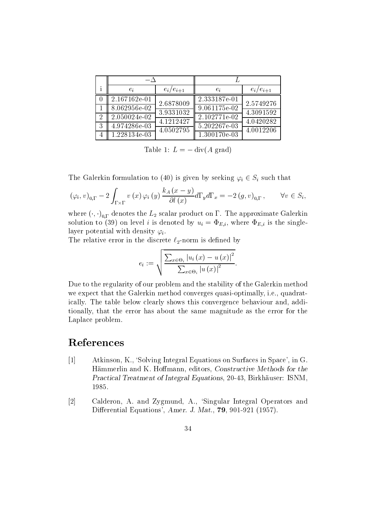|   | $e_i$          | $e_i/e_{i+1}$ | $e_i$           | $e_i/e_{i+1}$          |  |
|---|----------------|---------------|-----------------|------------------------|--|
|   | 2.167162e-01   | 2.6878009     | 2.333187e-01    | 2.5749276              |  |
|   | 8.062956e-02   | 3.9331032     | $9.061175 - 02$ | 4.3091592              |  |
|   | 2.050024e-02   | 4.1212427     | 2.102771e-02    | 4.0420282              |  |
| 3 | 4.974286e-03   | 4.0502795     | 5.202267e-03    | $\overline{4.00122}06$ |  |
|   | $1.228134e-03$ |               | $1.300170e-03$  |                        |  |

Table 1:  $L = -$  GIV(A grad)

The Galerkin formulation to (40) is given by seeking  $\varphi_i \in S_i$  such that

$$
(\varphi_i, v)_{0,\Gamma} - 2 \int_{\Gamma \times \Gamma} v(x) \varphi_i(y) \frac{k_A(x - y)}{\partial l(x)} d\Gamma_y d\Gamma_x = -2 (g, v)_{0,\Gamma}, \qquad \forall v \in S_i,
$$

where  $(\cdot, \cdot)_{0,\Gamma}$  denotes the  $L_2$  scalar product on  $1$  . The approximate Galerkin  $s_i = s_i$  is denoted by understanding by  $i$  is the single-single-single-single-single-single-single-single-single-single-single-single-single-single-single-single-single-single-single-single-single-single-single-single-sin layer potential with density  $\varphi_i$ .

The relative error in the discrete  $\ell_2$ -norm is defined by

$$
e_i := \sqrt{\frac{\sum_{x \in \Theta_i} \left| u_i\left(x\right) - u\left(x\right) \right|^2}{\sum_{x \in \Theta_i} \left| u\left(x\right) \right|^2}}.
$$

Due to the regularity of our problem and the stability of the Galerkin method we expect that the Galerkin method converges quasi-optimally, i.e., quadratically. The table below clearly shows this convergence behaviour and, additionally, that the error has about the same magnitude as the error for the Laplace problem

# References

- Atkinson, K., 'Solving Integral Equations on Surfaces in Space', in G. Hämmerlin and K. Hoffmann, editors, Constructive Methods for the Practical Treatment of Integral Equations, 20-43, Birkhäuser: ISNM,
- $[2]$ Calderon, A. and Zygmund, A., 'Singular Integral Operators and Dierential Equations Amer J Mat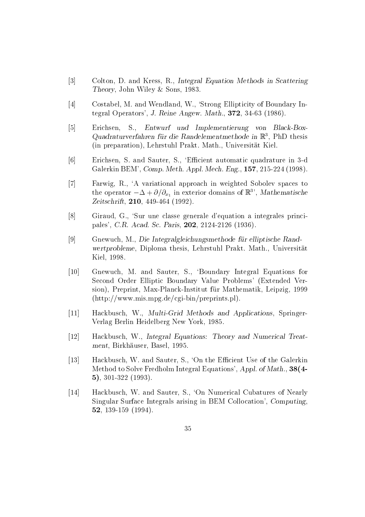- $\lceil 3 \rceil$ Colton, D. and Kress, R., Integral Equation Methods in Scattering Theory John Wiley ( Sons) Sons Wiley ( Sons) Sons Wiley ( Sons) Sons Wiley ( Sons Wiley ( Sons Wiley ( Sons Wi
- $[4]$ Costabel, M. and Wendland, W., 'Strong Ellipticity of Boundary Integral Operators J Reine Angew Mathematics J Reine Angels and Development and Development and Development and
- $[5]$ Erichsen, S., Entwurf und Implementierung von Black-Box-Waaraturverfahren fur die Kandelementmethode in Krystein thesis (in preparation), Lehrstuhl Prakt. Math., Universität Kiel.
- $\lceil 6 \rceil$ Erichsen, S. and Sauter, S., 'Efficient automatic quadrature in 3-d  $G$  . We define  $B$  and  $\alpha$  is a set of  $\alpha$  m  $\beta$  measurement  $\alpha$  . The matrix  $\alpha$  measurement  $\alpha$
- $\lceil 7 \rceil$ Farwig, R., 'A variational approach in weighted Sobolev spaces to the operator  $-\Delta + \partial/\partial_{x_1}$  in exterior domains of  $\mathbb{R}^3$ , *Mathematische* Zeitschrift
- $\lceil 8 \rceil$ Giraud, G., 'Sur une classe generale d'equation a integrales principarticle can be considered by the case of the case of the case of the case of the case of the case of the case
- $\lceil 9 \rceil$  Gnewuch M Die Integralgleichungsmethode f-ur elliptische Rand wertprobleme, Diploma thesis, Lehrstuhl Prakt. Math., Universität <u>Aireste a c</u>omo comunicación de la comunicación de la comunicación de la comunicación de la comunicación de la c
- Gnewuch, M. and Sauter, S., 'Boundary Integral Equations for Second Order Elliptic Boundary Value Problems' (Extended Version Preprint MaxPlanckInstitut fur Mathematik Leipzig  $(\text{http://www.mis.mpg.de/cgi-bin/preprints.pl}).$
- and the contract of the contract of the contract of Hackbusch, W., Multi-Grid Methods and Applications, Springer- $\mathcal{L}$  because the set of  $\mathcal{L}$  and  $\mathcal{L}$  are  $\mathcal{L}$  and  $\mathcal{L}$  are  $\mathcal{L}$
- Hackbusch, W., Integral Equations: Theory and Numerical Treatment Birkhauser Birkhauser Basel and die Birkhauser Birkhauser Birkhauser Birkhauser Birkhauser Birkhauser Bir
- Hackbusch, W. and Sauter, S., 'On the Efficient Use of the Galerkin Method to Solve Fredholm Integral Equations', Appl. of Math., 38(4-
- Hackbusch, W. and Sauter, S., 'On Numerical Cubatures of Nearly Singular Surface Integrals arising in BEM Collocation', Computing,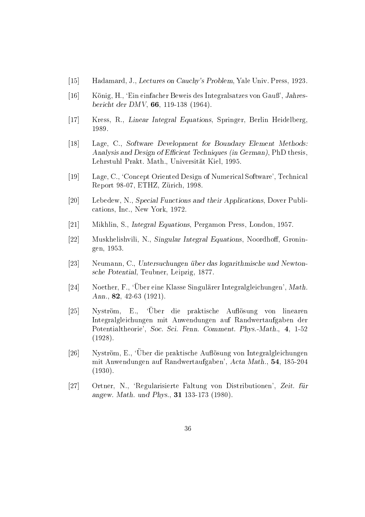- Hadamard J Lectures on Cauchys Problem Yale Univ Press
- König, H., 'Ein einfacher Beweis des Integralsatzes von Gauß', Jahres $b$  becomes der DMV and  $b$  and  $b$  and  $b$  and  $b$  and  $b$  and  $b$  and  $b$  and  $b$  and  $b$  and  $b$  and  $b$  and  $b$  and  $b$  and  $b$  and  $b$  and  $b$  and  $b$  and  $b$  and  $b$  and  $b$  and  $b$  and  $b$  and  $b$  and  $b$  and  $b$  a
- Kress, R., Linear Integral Equations, Springer, Berlin Heidelberg,
- Lage, C., Software Development for Boundary Element Methods: Analysis and Design of Efficient Techniques (in German), PhD thesis, Lehrstuhl Prakt Math Universitat Kiel
- Lage, C., 'Concept Oriented Design of Numerical Software', Technical representative and the contract of the contract of the contract of the contract of the contract of the contract of the contract of the contract of the contract of the contract of the contract of the contract of the contrac
- $\lceil 20 \rceil$ Lebedew, N., Special Functions and their Applications, Dover Publications Inc. In the Inc. In the Inc. In the Inc. In the Inc. In the Inc. In the Inc. In the Inc. In the Inc. I
- $\mathcal{M}$  . S intersection exchange the performance  $\mathcal{M}$  intersection per sections and  $\mathcal{M}$
- $\left[22\right]$ Muskhelishvili, N., Singular Integral Equations, Noordhoff, Groningen
- $\lceil 23 \rceil$  Neumann C Untersuchungen uber das logarithmisc - he und Newton sche Potential Teubner Leipzigten, Potential
- $\lceil 24 \rceil$  $24$  Noether, F., 'Uber eine Klasse Singulärer Integralgleichungen', Math. Ann
- $\lceil 25 \rceil$ Nyström, E., 'Über die praktische Auflösung von linearen Integralgleichungen mit Anwendungen auf Randwertaufgaben der Potentialtheorie Soc Sci Fenn Comment PhysMath  $\sqrt{2}$
- -Nyström, E., 'Über die praktische Auflösung von Integralgleichungen mit Anwendungen auf Randwertaufgaben Acta Mathematik Mathematik Mathematik Mathematik Mathematik Ma  $\lambda$  = = =  $\lambda$  +  $\lambda$  +  $\lambda$  +  $\lambda$  +  $\lambda$  +  $\lambda$  +  $\lambda$  +  $\lambda$  +  $\lambda$  +  $\lambda$  +  $\lambda$  +  $\lambda$  +  $\lambda$  +  $\lambda$  +  $\lambda$  +  $\lambda$  +  $\lambda$  +  $\lambda$  +  $\lambda$  +  $\lambda$  +  $\lambda$  +  $\lambda$  +  $\lambda$  +  $\lambda$  +  $\lambda$  +  $\lambda$  +  $\lambda$  +  $\lambda$  +  $\lambda$  +  $\lambda$  +
- $[27]$ 27 Ortner, N., 'Regularisierte Faltung von Distributionen', Zeit. für angew Math und Phys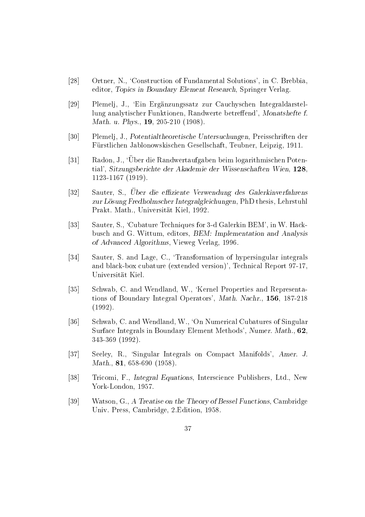- $\lceil 28 \rceil$ Ortner, N., 'Construction of Fundamental Solutions', in C. Brebbia editor, Topics in Boundary Element Research, Springer Verlag.
- [29] Plemelj, J., 'Ein Ergänzungssatz zur Cauchyschen Integraldarstellung analytischer Funktionen, Randwerte betreffend', Monatshefte f.  $M$  and  $M$  -  $M$  and  $M$  -  $M$  -  $M$  -  $M$  -  $M$  -  $M$  -  $M$  -  $M$  -  $M$  -  $M$  -  $M$  -  $M$  -  $M$  -  $M$  -  $M$  -  $M$  -  $M$  -  $M$  -  $M$  -  $M$  -  $M$  -  $M$  -  $M$  -  $M$  -  $M$  -  $M$  -  $M$  -  $M$  -  $M$  -  $M$  -  $M$  -  $M$  -  $M$  -
- $\lceil 30 \rceil$ Plemelj, J., Potentialtheoretische Untersuchungen, Preisschriften der Furstlichen Jablonowskischen Gesellschaft Teubner Leipzig
- l – Radon, J., 'Uber die Randwertaufgaben beim logarithmischen Potential', Sitzungsberichte der Akademie der Wissenschaften Wien, 128. the contract of the contract of the contract of the contract of the contract of the contract of the contract of
- $\lceil 32 \rceil$ J2| Dautel, D., O*b*er die emziehte verwendung des G*al*erkinverfahrens zur L-osung Fredholmscher Integralgleichungen PhD thesis Lehrstuhl Prakt Math Universitat Kiel
- $\left[33\right]$ Sauter, S., 'Cubature Techniques for 3-d Galerkin BEM', in W. Hackbusch and G. Wittum, editors, BEM: Implementation and Analysis of Advanced Algorithms Vieweg Verlag
- $\left[34\right]$ Sauter, S. and Lage, C., Transformation of hypersingular integrals and blackbox cubature extended versions that the cubature extended version  $\mathcal{L}_\mathbf{R}$ Universitat Kiel
- $\left[35\right]$ Schwab, C. and Wendland, W., 'Kernel Properties and Representations of Boundary Integral Operators Math Nachr  $\lambda$  = = =  $\lambda$  +
- $\lceil 36 \rceil$ Schwab, C. and Wendland, W., 'On Numerical Cubatures of Singular Surface Integrals in Boundary Element Methods', Numer. Math., 62.
- $\left[37\right]$ Seeley, R., 'Singular Integrals on Compact Manifolds', Amer. J. mathematic contract of the contract of the contract of the contract of the contract of the contract of the contract of the contract of the contract of the contract of the contract of the contract of the contract of the con
- |38| Tricomi, F., *Integral Equations*, Interscience Publishers, Ltd., New York London and Construction and Construction and Construction and Construction and Construction and Construction
- $\left[39\right]$ Watson, G., A Treatise on the Theory of Bessel Functions, Cambridge University University Press Cambridge Edition